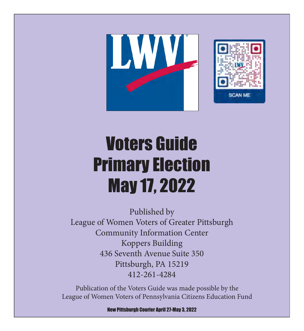



# Voters Guide Primary Election May 17, 2022

Published by League of Women Voters of Greater Pittsburgh Community Information Center Koppers Building 436 Seventh Avenue Suite 350 Pittsburgh, PA 15219 412-261-4284

Publication of the Voters Guide was made possible by the League of Women Voters of Pennsylvania Citizens Education Fund

New Pittsburgh Courier April 27-May 3, 2022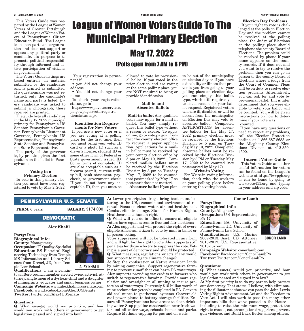This Voters Guide was prepared by the League of Women Voters of Greater Pittsburgh and the League of Women Voters of Pennsylvania Citizen Education Fund. The League is a non-partisan organization and does not support or oppose any political party or candidate. Its purpose is to promote political responsibility through informed and active participation of citizens in government.

The Voters Guide listings are based entirely on material submitted by the candidates and is printed as submitted. If a questionnaire was not returned, only the candidate's name and party is listed. Every candidate was asked to submit a photograph; those received are printed.

The guide lists all candidates in the May 17, 2022 municipal primary for Pennsylvania US Senator, Pennsylvania Governor, Pennsylvania Lieutenant Governor, Pennsylvania US Representative, Pennsylvania State Senator, and Pennsylvania State Representative.

The party of the governor is, by practice, given the first position on the ballot in Pennsylvania.

#### Voting in a Primary Election

To vote in this primary election you must have been registered to vote by May 2, 2022.

# League of Women Voters Guide To The Municipal Primary Election May 17, 2022

# (Polls open from 7 AM to 8 PM)

Your registration is permanent if

• you did not change your address

• You did not change your name

To check your registration status, go to

https://www.pavoterservices. pa.gov/pages/voterregistrationstatus.aspx

#### Identification Requirements for New Voters

If you are a new voter or if you are voting at a polling place for the first time, then you must bring your voter ID card or a photo ID such as a driver's license, student ID or some other form of Federal or State government issued ID. Some forms of non-photo ID are also acceptable such as a firearm permit, current utility bill, bank statement, paycheck, or government check. If you do not have any acceptable ID, then you must be

allowed to vote by provisional ballot. If you voted in the prior election and are voting at the same polling place, you are NOT required to bring or provide identification.

#### Mail-in and Absentee Ballots

Mail-in ballot Any qualified voter may apply for a mail-in ballot. You may simply request this ballot type without a reason or excuse. To apply online, go to vote.pa.gov. Contact the county election office to request a paper application. Applications for a mailin ballot must be received by your county election office by 5 pm on May 10, 2022. Completed mail-in ballots must be received by the Elections Division by 8 pm on Tuesday May 17, 2022 to be counted (not postmarked by May 17 as postmark does not matter).

Absentee ballot If you plan

to be out of the municipality on election day or if you have a disability or illness that prevents you from going to your polling place on election day, you can simply this ballot type, which still requires you to list a reason for your ballot request. Registered voters who are ill, disabled, or will be absent from the municipality on Election Day may vote by absentee ballot. Completed APPLICATIONS for absentee ballots for the May 17, 2022 primary election must be received by the Elections Division by 5 p.m. on Tuesday, May 10, 2022. Completed absentee ballots must be received by the Elections Division by 8 PM on Tuesday, May 17, 2022 to be counted (not postmarked by May 17).

### Write-in Voting

For Write-in voting information, check with the workers at your polling place before entering the voting booth.

# Election Day Problems If your right to vote is chal-

lenged at the polls on Election Day and the problem cannot be resolved at the polling place, the Judge of Elections at the polling place should telephone the county Board of Elections. The problem could be resolved by phone if your name appears on the county records. If it does not and you want to try to resolve the problem, then you can go in person to the county Board of Elections where a judge from the Court of Common Pleas will be on duty to resolve election problems. Alternatively, you can ask for and vote by provisional ballot. If it is later determined that you were eligible to vote, your ballot will be counted. You will be given instructions on how to determine if your vote was counted.

If you have any questions or need to report any problems, call the Election Protection hotline at 1-866-687-8683 or the Allegheny County Elections Division at 412-350- 4500.

#### Internet Voters Guide

 This Voters Guide and other useful information for voters can be found on the League's web site at https://lwvpgh.org or can be found by going to www.vote411.org and typing in your address and zip code.

### PENNSYLVANIA U.S. SENATE

**TERM:** 6 years **SALARY:** \$174,000

### DEMOCRATIC

Alex Khalil

Party: Dem Biographical Info: County: Montgomery **Occupation:** IT Quality Specialist Education: BS Electrical Engineering Technology from Temple, MS Information and Library Science from Drexel, JD, from Temple Law School

**ALEX KHALIL**

Qualifications: I am a Jenkintown Boro council member elected twice, activist, attorney, single mom of a dyslexic child and a daughter of immigrants, educator and small business owner Campaign Website: www.alexkhalilforussenate.com Facebook: www.facebook.com/Alex4USSenate Twitter: twitter.com/Alex4USSenate

#### Questions:

Q: What issue(s) would you prioritize, and how would you work with others in government to get legislation passed and signed into law?

A: Lower prescription drugs, bring back manufacturing to the US, economic and environmental renewal. Focus on clean water, air and healthy soil. Combat climate change. Stand for Human Rights. Healthcare as a human right

Q: What will you do in office to ensure all eligible voters have equal access to free and fair elections? A: Alex supports and will protect the right of every eligible American citizen to vote by mail in ballot or in person voting.

Voter suppression will not be tolerated in any form and will fight for the right to vote. Alex supports stiff penalties for those who try to suppress the vote. Voting is a part of democracy and should be protected. Q: What measures, regulations, or acts, if any, would you support to mitigate climate change?

A: Stop the confiscation of Native American lands by mining companies. Support regenerative farming to prevent runoff that can harm PA waterways. Alex supports providing tax credits to farmers who switch to regenerative farming. Provide more regulation and oversight on all mining to ensure protection of waterways. Currently \$15 billion worth of mine reclamation yet to be completed in PA. Convert old coal mines to geothermal systems. Convert old coal power plants to battery storage facilities. Ensure all Pennsylvanians have access to clean drinking water. Stop pipeline construction near fresh wa-Require Methane capping for gas and oil wells.

Conor Lamb Party: Dem Biographical Info:

County: Allegheny **Occupation:** U.S. Representative, PA-17

Education: BA, University of Pennsylvania; JD, University of Pennsylvania Law School Qualifications: U.S. Marine

2009-2013; Asst. U.S. Attorney 2013-2017; U.S. Representative, 2018-current

Campaign Website: conorlamb.com Facebook: Facebook.com/ConorLambPA Twitter: Twitter.com/ConorLambPA

#### Questions:

Q: What issue(s) would you prioritize, and how would you work with others in government to get legislation passed and signed into law?

A: My first priority is to do my part to help protect our democracy. That starts, I believe, with eliminating the filibuster so that we can pass the John Lewis Voting Rights Advancement Act and the Freedom to Vote Act. I will also work to pass the many other important bills that we've passed in the House including to raise the minimum wage, protect the ter and all water ways, schools, homes and parks. right to choose, cut prescription drug prices, prevent gun violence, and Build Back Better, among others.



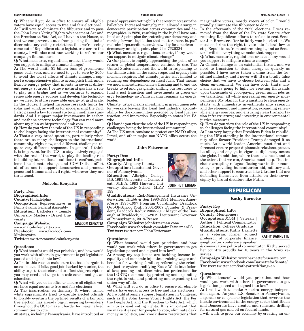#### **NEW PITTSBURGH COURIER VOTERS GUIDE 2022 APRIL 27-MAY 3, 2022 3**

Q: What will you do in office to ensure all eligible voters have equal access to free and fair elections? A: I will vote to eliminate the filibuster and to pass the John Lewis Voting Rights Advancement Act and the Freedom to Vote Act, as I have in the House, so that we can prevent states from passing the kind of discriminatory voting restrictions that we're seeing come out of Republican state legislatures across the country. I will also continue working to reform our campaign finance laws.

Q: What measures, regulations, or acts, if any, would you support to mitigate climate change?

A: The world emits 51 billion tons of greenhouse gases each year, and we need to get to zero by 2050 to avoid the worst effects of climate change. I support a comprehensive plan to accomplish that, and a flexible energy policy that invests in several different energy sources. I believe natural gas has a role to play as a bridge fuel as we continue to expand renewable energy sources and develop the technology we need to store renewable energy at grid scale. In the House, I helped increase research funds for solar and wind, as well as for modernizing the grid. I also passed a law to reinstate tough methane standards. And I support major investments in carbon and methane capture technology. You can read more about my plan at https://conorlamb.com

Q: How do you view the role of the US in responding to challenges facing the international community? A: That's a very broad question, particularly when there are so many challenges to the international community right now, and different challenges require very different responses. In general, I think it is important for the U.S. to stay actively engaged with the rest of the world, to play the leading role in building international coalitions to confront problems like climate change and COVID that affect all of us, and to support democracies and promote peace and human and civil rights wherever they are threatened.

#### Malcolm Kenyatta

Party: Dem Biographical Info: County: Philadelphia Occupation: Representative in Pennsylvania General Assembly Education: Bachelors - Temple University, Masters - Drexel University

Campaign Website:

www.malcolmkenyatta.com<br>Facebook: www.faceboo Facebook: www.facebook.com/ Mmkenyatta

Twitter: twitter.com/malcolmkenyatta

#### Questions:

Q: What issue(s) would you prioritize, and how would you work with others in government to get legislation passed and signed into law?

 $\mathbf{\hat{A}}$ : I'm in this race to make sure the basic bargain is accessible to all folks, good jobs backed by a union, the ability to go to the doctor and to afford the prescription you may need and to go to a safe school and get an education.

Q: What will you do in office to ensure all eligible voters have equal access to free and fair elections?

A: The insurrection on January 6, where armed white supremacists tried to execute elected officials to forcibly overturn the certified results of a fair and free election, has already begun inspiring lawmakers throughout the US to make it harder for marginalized communities to vote.

ballot box. Increased voting by mail allowed a surge in democratic participation across communities and demographics in 2020, resulting in the higheI have outlined an 8 point plan for protecting our democracy and moving forward legislation that matters here. https:// malcolmforpa.medium.com/a-new-day-for-americandemocracy-an-eight-point-plan-24bd7f32f324

Q: What measures, regulations, or acts, if any, would you support to mitigate climate change?

A: Our planet is rapidly approaching the point of no return as global temperatures continue to rise. The United States must lead the world in responding to the climate crisis on the scale, scope, and urgency this moment requires. But climate justice isn't limited to reducing our dependence on fossil fuels. That means we need a moratorium on new fracking and to end tax breaks to oil and gas giants, shifting our resources to fund a just transition and investments in green energy technology so Pennsylvania remains an energy leader.

Climate justice means investment in green union jobs for workers leaving the fossil fuel industry, accountability for the communities poisoned by fossil fuel extraction, and innovation. Especially in states like PA whe

Q: How do you view the role of the US in responding to challenges facing the international community?

A: The US must continue to protect our NATO allies, Israel, and other major non-NATO allies across the world.

#### John Fetterman

Party: Dem Biographical Info: County: Allegheny County Occupation: Lieutenant Governor of Pennsylvania Education: Albright College, B.S. 1991 University of Connecti-

cut., M.B.A. 1993 Harvard University Kennedy School, M.P.P. 199

Qualifications: Risk-Management Insurance Underwriter, Chubb & Son 1993-1994 Member, AmeriCorps 1995-1997 Program Coordinator, Braddock Out-Of-School Youth 2001-2007 Founder & President, Braddock Redux 2003-2017 Mayor of the Borough of Braddock, 2006-2019 Lieutenant Governor of Pennsylvania, 2019-Presen

**JOHN FETTERMAN**

Campaign Website: johnfetterman.com/ Facebook: www.facebook.com/JohnFettermanPA Twitter: twitter.com/JohnFetterman

#### Questions:

Q: What issue(s) would you prioritize, and how would you work with others in government to get legislation passed and signed into law?

A: Among my top issues are tackling income inequality and economic injustices; raising wages and benefits for working families; reforming the criminal justice system; codifying Roe v. Wade into federal law; passing anti-discrimination protections for the LGBTQ+ community; protecting and expanding the right to vote; and protecting and expanding the union way of life.

Q: What will you do in office to ensure all eligible voters have equal access to free and fair elections? A: I would strongly support legislation in Congress, such as the John Lewis Voting Rights Act, the For the People Act, and the Freedom to Vote Act, which aim to expand voting rights. It is important that we make it easier for people to vote, eliminate dark 48 states, including Pennsylvania, have introduced or money in politics, and knock down restrictions that I will work to grow our economy by creating an en-

passed oppressive voting bills that restrict access to the marginalize voters, mostly voters of color. I would proudly eliminate the filibuster to do it.

In the aftermath of the 2020 elections, I was removed from the floor of the PA state Senate after resisting Republican efforts to refuse to seat Senator Jim Brewster after he fairly won his election. We must enshrine the right to vote into federal law to stop Republicans from undermining it, and as Senator I will do everything to make that happen.

Q: What measures, regulations, or acts, if any, would you support to mitigate climate change?

A: Climate change is an existential threat, and we need to transition to clean energy as quickly as possible. I have never taken a dime from the fossil fuel industry, and I never will. It's a totally false choice that we have to choose between jobs and a clean environment. We can have both, that's why I am always going to fight for creating thousands upon thousands of good-paying green union jobs as we transition, all while increasing our energy independence. My plan for the transition to clean energy starts with immediate investments into research and development and innovation; expanding renewable energy sources; and ensuring clean transportation infrastructure; and investing in environmental justice measures.

Q: How do you view the role of the US in responding to challenges facing the international community?

A: I am very happy that President Biden is rebuilding the US's standing in the international community after former President Trump damaged it so much. As a world leader, America must first and foremost ensure proper diplomatic relations, protect its allies, and engage in vigorous diplomacy across the globe. In addition, where there is a need, and to the extent that we can, America must help. That includes accepting refugees fleeing war in their countries, or providing humanitarian aid, military aid, and other support to countries like Ukraine that are defending themselves from attacks on their sovereignty by brutal dictators like Putin.

### **REPUBLICAN**

#### Kathy Barnette

Party: Rep Biographical Info: County: Montgomery Occupation: MOM | Veteran Author | Political Commentator Education: College Graduate Qualifications: Kathy Barnette is a veteran, former adjunct professor of corporate finance, sought-after conference speaker,



& conservative political commentator. Kathy served her country proudly for 10 years in the Army reserves.

Campaign Website: www.barnetteforsenate.com Facebook: www.facebook.com/BarnetteforSenate/ Twitter: twitter.com/kathy4truth?lang=en

#### Questions:

Q: What issue(s) would you prioritize, and how would you work with others in government to get legislation passed and signed into law?

A: I will work to make America energy independent again. As your U.S. Senator in Pennsylvania, I sponsor or co-sponsor legislation that reverses the hostile environment in the energy sector that Biden and Democrats have created and reinstate drilling for natural gas and oil on federal lands.



**MALCOM KENYATTA**

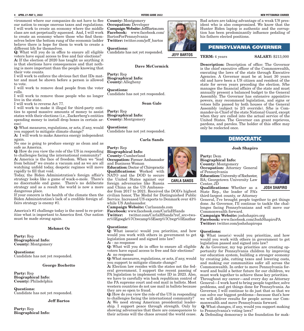vironment where our companies do not have to flee our nation to escape onerous taxes and regulations. I will work to create an economy where the middle class are not perpetually squeezed. And, I will work to create an economy where those who find themselves below the bottom rung of the economic ladder believe there is hope for them to work to create a different life for themselves.

Q: What will you do in office to ensure all eligible Candidate has not yet responded. **JEFF BARTOS** voters have equal access to free and fair elections?

A: If the election of 2020 has taught us anything it is that elections have consequences and that nothing is more important than the people knowing that their vote counts.

I will work to enforce the obvious fact that IDs matter and must be shown before a person is allowed to vote.

I will work to remove dead people from the voter rolls.

I will work to remove those people who no longer live in the state.

I will work to reverse Act 77.

I will work to make it illegal for third-party entities to spend massive amounts of money to assist Party: Rep states with their elections (i.e., Zuckerberg's entities Biographical Info: spending money to install drop boxes in certain areas)

Q: What measures, regulations, or acts, if any, would you support to mitigate climate change?

A: I will work to make America energy independent again.

No one is going to produce energy as clean and as safe as America.

Q: How do you view the role of the US in responding to challenges facing the international community? A: America is the face of freedom. When we "lead from behind" we create a vacuum and as we are all watching unfold today, despotic regimes will move rapidly to fill that void.

Today, the Biden Administration's foreign affair's strategy looks like a game of wack-o-mole. There's no discernable end game. There's no deliberate strategy and as a result the world is now a more dangerous place.

If your concern is the health of the climate then the Biden Administration's lack of a credible foreign affairs strategy is enemy #1.

America's #1 challenge today is the need to re-prioritize what is important to America first. Our nation must be made strong again.

#### Mehmet Oz

Party: Rep Biographical Info: County: Montgomery

Questions: Candidate has not yet responded.

#### George Bochetto

Party: Rep Biographical Info: County: Philadelphia

Questions: Candidate has not yet responded.

#### Jeff Bartos

Party: Rep Biographical Info: County: Montgomery Occupation: Developer Campaign Website: JeffBartos.com Facebook: www.facebook.com/ BartosForPennsylvania Twitter: twitter.com/jeff\_bartos

#### Questions:

#### Dave McCormick

Party: Rep Biographical Info: County: Allegheny

Questions: Candidate has not yet responded.

Sean Gale

County: Montgomery

Questions: Candidate has not yet responded.

#### Carla Sands

Party: Rep

Biographical Info: County: Cumberland Occupation: Former Ambassador and Business Woman Education: Doctor of Chiropractic **Qualifications:** Worked with NATO and the DOD to secure the United States against our foreign adversaries like Russia and China as the US Ambassa-

dor from 2017 to 2021. Received the DOD's highest civilian honor, The Medal for Distinguished Public Service. Increased US exports to Denmark over 43% while US Ambassador.

Campaign Website: Carlasands.com Facebook: www.facebook.com/CarlaHSands Twitter: twitter.com/CarlaHSands?ref\_src=twsrc%5Egoogle%7Ctwcamp%5Eserp%7Ctwgr%5Eauthor

#### Questions:

Q: What issue(s) would you prioritize, and how would you work with others in government to get legislation passed and signed into law? A: - no response

Q: What will you do in office to ensure all eligible voters have equal access to free and fair elections? A: no response

Q: What measures, regulations, or acts, if any, would you support to mitigate climate change?

A: Election law resides with the states not the federal government. I support the recent passing of PA legislation to implement voter ID in 2023. Also, we have to carefully win back republican control of the PA supreme court and end mail in ballots. Most western countries do not use mail in ballots because they are so open to fraud.

Q: How do you view the role of the US in responding to challenges facing the international community?

A: We need strong American presidential leadership. I support peace through strength. Only by showing adversaries that there are consequences to their actions will the chaos around the world cease. A: Defending democracy is the foundation for mak-

Bad actors are taking advantage of a weak US president who is also compromised. We know that the Hunter Biden laptop is authentic and the corruption has been predominantly influence pedaling of his fathers elected positions.

### PENNSYLVANIA GOVERNER

**TERM:** 4 years **SALARY:** \$213,000

Description: Description of office: The Governor is the chief executive officer of the Commonwealth, executing the laws of the state through Executive Agencies. A Governor must be at least 30 years old and have been a US citizen and resident of the state for seven years preceding the election. S/he manages the financial affairs of the state and must annually present a balanced budget to the General Assembly. The Governor has extensive appointive powers, may recommend legislation, and signs or vetoes bills passed by both houses of the General Assembly (subject to 2/3 override). S/he is Commander-in-Chief of the state National Guard, except when they are called into the actual service of the United States. The Governor can grant reprieves, pardons, and paroles. The holder of this office may only be reelected once.

### DEMOCRATIC

#### Josh Shapiro

#### Party: Dem Biographical Info: County: Montgomery Occupation: Attorney General of Pennsylvania

Education: University of Rochester, BA; Georgetown University Law

Center, JD Qualifications: Whether as a State Rep., the leader of PA's third-largest county, or Attorney

General, I've brought people together to get things done. As Governor, I'll continue to tackle the challenges facing Pennsylvanians and will move our Commonwealth forward.

Campaign Website: joshshapiro.org Facebook: www.facebook.com/JoshShapiroPA Twitter: twitter.com/joshshapiropa

#### Questions:

Q: What issue(s) would you prioritize, and how would you work with others in government to get legislation passed and signed into law?

A: As Governor, my top priorities are creating opportunity for Pennsylvania children by improving our education system, building a stronger economy by creating jobs, cutting taxes and lowering costs, and making our communities safer all across the Commonwealth. In order to move Pennsylvania forward and build a better future for our children, we must work together to achieve these key priorities. Throughout my career—and every day as Attorney General—I work hard to bring people together, solve problems, and get things done for Pennsylvania. As Governor, I will continue to do just that so that we can solve our biggest problems—because that's how we will deliver results for people across our Commonwealth and move Pennsylvania forward.

Q: What changes, if any, would you support making to Pennsylvania's voting laws?



**CARLA SANDS**







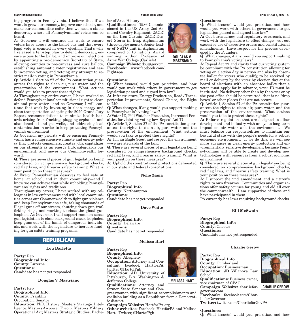ing progress in Pennsylvania. I believe that if we lor of Arts, History want to grow our economy, improve our schools, and make our communities safer, then we need a stable democracy where all Pennsylvanians' voices can be heard.

As Governor, I will continue my work to ensure voters have access to the ballot box and that every legal vote is counted in every election. That's why I released a ten-step plan to defend democracy, ensure access to the ballot, and improve our elections by appointing a pro-democracy Secretary of State, allowing counties to pre-canvass and cure ballots, establishing automatic voter registration and early in-person voting, and vetoing any attempt to restrict mail-in voting in Pennsylvania.

Q: Article 1, Section 27 of the PA constitution guarantees the rights to clean air, pure water, and the preservation of the environment. What actions would you take to protect these rights?

A: Throughout my entire career, I have worked to defend Pennsylvanians' constitutional right to clean air and pure water—and as Governor, I will continue that work by investing in clean energy and clean transportation, adopting the 2020 Grand Jury Report recommendations to minimize health hazards arising from fracking, plugging orphaned and abandoned oil and gas wells, and addressing lead contamination in order to keep protecting Pennsylvania's environment.

As Governor, my priority will be ensuring Pennsylvania has a comprehensive climate and energy policy that protects consumers, creates jobs, capitalizes on our strength as an energy hub, safeguards our environment, and moves our Commonwealth forward.

red flag laws, and firearm safety training. What is in our state and federal constitutions Q: There are several pieces of gun legislation being considered on comprehensive background checks, your position on these measures?

A: Every Pennsylvanian deserves to feel safe at home, at school, and in their community—and I know we can achieve that while upholding Pennsylvanians' rights and traditions.

Throughout my career, I have worked with my colleagues in law enforcement and with local communities across our Commonwealth to fight gun violence and keep Pennsylvanians safe, taking thousands of illegal guns off our streets, shutting down gun trafficking rings, and working to close the ghost gun loophole. As Governor, I will support common sense gun legislation to close background check loopholes, keep guns out of the hands of dangerous individuals, and work with the legislature to increase funding for gun safety training programs.

### **REPUBLICAN Melissa Hart**

#### Lou Barletta

Party: Rep Biographical Info: County: Luzerne Questions: Candidate has not yet responded.

#### Douglas V. Mastriano

Party: Rep Biographical Info: County: Franklin Occupation: Senator Education: PhD, History; Masters Strategic Intelligence; Masters Airpower Theory; Masters Military Operational Art; Masters Strategic Studies, Bache-

Qualifications: 1986-Commissioned in the US Army, 2nd Armored Cavalry Regiment (2ACR) on the Iron Curtain, 2ACR Desert Storm in Iraq, Afghanistan (three deployments), Senior leader of NATO unit in Afghanistan comprised of 18 nations, Award winning author, Professor of Army War College (Carlisle)

Campaign Website: doug4gov.com Facebook: www.facebook.com/ Fight4pa

#### Questions:

Q: What issue(s) would you prioritize, and how would you work with others in government to get legislation passed and signed into law?

A: Infrastructure, Energy Production, Road / Transportation Improvements, School Choice, the Right to Life

to Pennsylvania's voting laws?

A: Voter ID, Poll Watcher Protection, Increased Penalties for violating voting law, Repeal Act 77

Q: Article 1, Section 27 of the PA constitution guarantees the rights to clean air, pure water, and the preservation of the environment. What actions would you take to protect these rights?

A: I'm an Eagle Scout and respect the environment —we are stewards of the land

Q: There are several pieces of gun legislation being considered on comprehensive background checks, red flag laws, and firearm safety training. What is your position on these measures?

A: Uphold the constitutional protections delineated

#### Nche Zama

Party: Rep Biographical Info: County: Northampton Questions: Candidate has not yet responded.

#### Dave White

Party: Rep Biographical Info: County: Delaware Questions: Candidate has not yet responded.

Party: Rep Biographical Info: County: Allegheny Occupation: Attorney and Consultant facebook HartforPA, twitter @HartofPgh Education: J.D. University of Pittsburgh, B.A. Washington & Jefferson College Qualifications: Attorney and former State Senator and Congresswoman with significant accomplishments and coalition building as a Republican from a Democrat-

ic district Campaign Website: HartforPA.org



#### Questions:

Q: What issue(s) would you prioritize, and how would you work with others in government to get legislation passed and signed into law?

A: Cut bureaucracy, end regulatory overreach, and work with the legislature to effect change—cut out excessive use of executive orders and constitutional amendments. Have respect for the process developed by the Founders.

Q: What changes, if any, would you support making to Pennsylvania's voting laws?

A: Repeal Act 77 and clarify that our voting system be compliant with the PA constitution allowing for voting on election day in person and also by absentee ballot for voters who qualify, to be received by mail or delivery by the voter by election day at the board of elections with an absentee ballot that a voter must apply for in advance, voter ID must be instituted. No delivery other than by the voter or by the post office should be permitted, that is no "drop boxes" or other places that are not secure.

Q: What changes, if any, would you support making antees the rights to clean air, pure water, and the Q: Article 1, Section 27 of the PA constitution guarpreservation of the environment. What actions would you take to protect these rights?

A: Enforce regulations that are designed to allow development and industry with an eye to long term impact on air water and the environment. We must balance our responsibilities to maintain our beautiful state with the people's needs for a robust economic environment. If we do this, we will see more advances in clean energy production and environmentally sensitive development because Pennsylvanians will be able to create and develop new technologies with resources from a robust economic environment.

Q: There are several pieces of gun legislation being considered on comprehensive background checks, red flag laws, and firearm safety training. What is your position on these measures?

A: I support the 2nd amendment and a citizen's rights to own firearms. Communities and organizations offer safety courses for young and old all over the commonwealth. I am supportive of these and have participated in them.

PA currently has laws requiring background checks.

#### Bill McSwain

Party: Rep Biographical Info: County: Chester Questions: Candidate has not yet responded.

#### Charlie Gerow

Party: Rep Biographical Info: County: Cumberland Occupation: Businessman Education: JD Villanova Law School

Qualifications: Business owner, vice chairman of CPAC

Campaign Website: charlieforgovernor.com

Facebook: facebook.com/CharlieforGovernor

Twitter: twitter.com/CharlieforGovPA

Questions:

**MELISSA HART**

Q: What issue(s) would you prioritize, and how











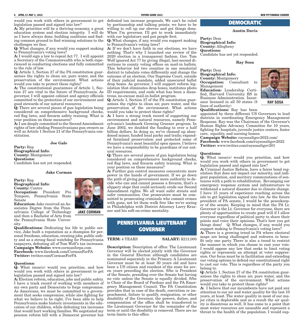would you work with others in government to get legislation passed and signed into law?

A: My priorities will be a thriving economy, a great education system and election integrity. I will do as I have always done, building coalitions and finding common ground to find winning solutions to the challenges we face.

Q: What changes, if any, would you support making to Pennsylvania's voting laws?

A: I would sign a law to repeal Act 77. I will appoint a Secretary of the Commonwealth who is both experienced in conducting elections and fully committed to the rule of law.

Q: Article 1, Section 27 of the PA constitution guarantees the rights to clean air, pure water, and the preservation of the environment. What actions would you take to protect these rights?

A: The constitutional guarantees of Article 1, Section 27 are vital to the future of Pennsylvania. As governor, I will appoint cabinet and agency officials committed to the protection of our environment and good stewards of our natural resources.

Q: There are several pieces of gun legislation being considered on comprehensive background checks, red flag laws, and firearm safety training. What is your position on these measures?

A: I am deeply committed to the Second Amendment rights of law-abiding Pennsylvanians gun owners as well as Article 1 Section 21 of the Pennsylvania constitution.

Joe Gale

Party: Rep Biographical Info: County: Montgomery Questions: Candidate has not yet responded.

Jake Corman

Party: Rep Biographical Info: County: Centre Occupation: President Pro Tempore, Pennsylvania State Senate

Education: Jake received an Associates Degree from the Pennsylvania College of Technology and then a Bachelor of Arts from the Pennsylvania State University.

Qualifications: Dedicating his life to public service, Jake built a reputation as a champion for personal freedoms, education, creating jobs, public safety and as a strong fiscal watchdog for Pennsylvania taxpayers, defeating all of Tom Wolf's tax increases. Campaign Website: www.cormanforpa.com Facebook: www.facebook.com/CormanForPA Twitter: twitter.com/CormanForPA

#### Questions:

Q: What issue(s) would you prioritize, and how would you work with others in government to get legislation passed and signed into law?

A: Election reform, education, jobs and public safety. I have a track record of working with members of my own party and Democrats to forge compromise. As Americans, we must be committed to a government that seeks compromise, while also fighting for what we believe to be right. I've been able to help Pennsylvania make historic investments in the education of our children, while defeating tax increases that would hurt working families. We negotiated my pension reform bill with a Democrat governor but term limits to this office.

defeated tax increase proposals. We can't be ruled by partisanship and talking points; we have to be willing to roll up our sleeves and get things done. When I'm governor, I'll get to work immediately with our legislature and put people first.

Q: What changes, if any, would you support making to Pennsylvania's voting laws?

A: If we don't have faith in our elections, we have nothing. That's why I launched our review of the 2020 election in a transparent fashion. Gov. Tom Wolf ignored Act 77 by giving illegal, last-second directions to county voting offices on mail-in ballots. This behavior led two counties in one senatorial district to tabulate votes differently and change the outcome of an election. Our Supreme Court, outside of their judicial mandate, added unsecured ballot drop boxes. As governor, I will support reform legislation that eliminates drop boxes, institutes photo ID requirements, and ends what has been a disastrous, no-excuse mail-in-ballot program.

Q: Article 1, Section 27 of the PA constitution guarantees the rights to clean air, pure water, and the preservation of the environment. What actions would you take to protect these rights?

A: I have a strong track record of supporting our environment and natural resources, namely Pennsylvania's landmark Growing Greener program. In June 2002, we doubled the funding to over a half billion dollars. In doing so, we've cleaned up abandoned mines; funded local parks and trails; expanded farmland preservation and protected some of Pennsylvania's most beautiful open spaces. I believe we have a responsibility to be guardians of our natural resources.

Q: There are several pieces of gun legislation being considered on comprehensive background checks, red flag laws, and firearm safety training. What is your position on these measures?

A: Further gun control measures concentrate more power in the hands of government. If we go down the path of giving government more authority to decide who can and cannot possess a firearm, that's a slippery slope that could seriously erode our Second Amendment rights. We all want safer streets and safer communities. Our prosecutors must be committed to prosecuting criminals who commit crimes with guns, not let them walk free like we're seeing in Philadelphia with District Attorney Larry Krasner and his soft-on-crime mentality.

# PENNSYLVANIA LIEUTENANT GOVERNER

**TERM:** 4 YEARS **SALARY:** \$213,000

Description: Description of office: The Lieutenant Governor will be elected jointly with the Governor in the General Election although candidates are nominated separately in the Primary. A Lieutenant Governor must be at least 30 years old and have been a US citizen and resident of the state for seven years preceding the election. S/he is President of the Senate, presiding over the Senate but having no vote unless the Senate is equally divided. S/he is Chair of the Board of Pardons and the PA Emergency Management Council. The PA Constitution provides that in case of the death, conviction or impeachment, failure to qualify, resignation, or other disability of the Governor, the powers, duties, and compensation of the office shall be transferred to the Lieutenant Governor for the remainder of the term or until the disability is removed. There are no

### DEMOCRATIC

Austin Davis

Party: Dem Biographical Info: County: Allegheny Questions: Candidate has not yet responded.

Ray Sosa

Party: Dem

lines of authority)

Biographical Info: **County: Montgomery<br>Occupation:** Consultant Occupation: Consultant to Management Education: Leadership Certified, Harvard University. BS in Business Administration. Insurance licensed in all 50 states (8



**RAY SOSA**

#### Qualifications: Ray has been

appointed by three different US Governors to lead districts in coordinating Emergency Management Response. Ray was the Chairman of the Governor's Human Rights Advocacy Committee for 10 years, fighting for hospitals, juvenile justice centers, foster care, equality, and nursing homes.

Campaign Website: raysosaltgov2022.com/ Facebook: www.facebook.com/raysosaltgov2022 Twitter: www.twitter.com/raysosaltgov201

#### Questions:

Q: What issue(s) would you prioritize, and how would you work with others in government to get legislation passed and signed into law?

A: Criminal Justice Reform, have a fairer bond regulation that does not impact our minority, and indigent population, and meritory commutations of sentences with a path to rehabilitation. Revamping our emergency response system and infrastructure to withstand a natural disaster due to climate change. I have 15 years of experience reaching across the isle to get legislation signed into law. As the future president of PA senate, I would be the peacekeeper of the senate. Keeping in mind that the PA Lt. Governor is the Lt. Governor for everyone, there are plenty of opportunities to create good will if I allow everyone regardless of political party to share their points and voice their opinions. That's how you get things done! Q: What changes, if any, would you support making to Pennsylvania's voting laws?

A: There is a growing trend in PA where electoral maps are being challenged and redrawn to benefit only one party. There is also a trend to restrict the manner in which you choose to cast your vote. I would oppose any law that seeks to limit voting rights or represents an attempt at voter suppression. Our focus must be in facilitation and extending our voting options to defend our constitutional right to cast our vote. This is regardless of the party you belong to.

Q: Article 1, Section 27 of the PA constitution guarantees the rights to clean air, pure water, and the preservation of the environment. What actions would you take to protect these rights?

A: I believe that our incumbents have not paid any attention to our air and water quality for the last 10 years, at least. The water quality in most of our major cities is deplorable and as a result the air quality is disastrous as well. It has come to a point that most water resources are unusable and represent a threat to the health of the population. I would sup-



**JAKE CORMAN**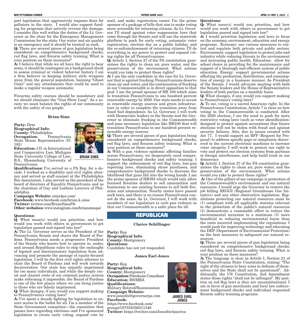#### **NEW PITTSBURGH COURIER VOTERS GUIDE 2022 APRIL 27-MAY 3, 2022 7**

polluters in the state. I would also support funding for programs that actively reverse the damage. I consider this well within the duties of the Lt. Governor as the chair for the Emergency Management Commission for the state. Our water and air quality is an emergency and it should be treated as such.

Q: There are several pieces of gun legislation being considered on comprehensive background checks, red flag laws, and firearm safety training. What is your position on these measures?

A: I believe that while we all have the right to bear arms, it should be contingent on a background check to assess criminal or violent behavior history. I am a firm believer in keeping military style weapons away from the general population, banning "Ghost Guns" and any attachments that could be used to make a regular weapon automatic.

Firearms safety courses should be mandatory and we should eliminate the "Gun Show Loop". As a society we must balance the rights of our community with the safety of our people.

#### Brian Sims

Party: Dem Biographical Info: County: Philadelphia **Occupation:** Pennsylvania State House Representative (D-182)

Education: J.D. in International and Comparative Law, Michigan State University College of Law; B.S., Bloomsburg University of Pennsylvania



**BRIAN SIMS**

Qualifications: I've served as a PA Rep. for a decade. I worked as a disability and civil rights attorney and served as staff counsel at the Philadelphia Bar Association. I also served as the president of the board of directors of Equality Pennsylvania and as the chairman of Gay and Lesbian Lawyers of Philadelphia.

Campaign Website: sims4pa.com/ Facebook: www.facebook.com/brian.k.sims Twitter: twitter.com/BrianSimsPA Other websites: www.instagram.com/briansimspa/

Questions:

Q: What issue(s) would you prioritize, and how would you work with others in government to get legislation passed and signed into law?

A: The Lt. Governor serves as the President of the Pennsylvania Senate and chairs the Board of Pardons. Pennsylvania needs a progressive President of the Senate who knows how to operate in, under, and around Republican rules to stop the onslaught of bigoted and discriminatory legislation from advancing and promote the passage of equity-focused legislation. I will be the first civil rights attorney to chair the Board of Pardons and will work towards decarceration. Our state has unjustly imprisoned far too many individuals, and while the deeply racist and classist roots of our criminal justice system make reforming it impossible, the Board of Pardons is one of the few places where we can bring justice to those who are falsely imprisoned.

Q: What changes, if any, would you support making to Pennsylvania's voting laws?

A: I've spent a decade fighting for legislation to ensure access to the ballot for all. I'm a member of the State Government committee—the committee that passes laws regarding elections–and I've sponsored legislation to create early voting, expand vote by

port legislation that aggressively imposes fines for mail, and make registration easier. I'm the prime sponsor of a package of bills that aim to make voting more accessible for returning citizens. As Lt. Governor I'll stand against voter suppression laws that come through the Senate and will use the statewide platform to push for early voting, automatic voter registration, election day as a public holiday, and the re-enfranchisement of returning citizens. I'll do everything in my power to protect and expand voting rights for all Pennsylvanians.

> Q: Article 1, Section 27 of the PA constitution guarantees the rights to clean air, pure water, and the preservation of the environment. What actions would you take to protect these rights?

> A: I am the only candidate in the race for Lt. Governor that is against fracking. Pennsylvanians deserve clean air and water, and the continuation of fracking in our Commonwealth is in direct opposition to that goal. I am the proud sponsor of HB 100 which aims to transition Pennsylvania to one hundred percent renewable energy by 2050. Our state needs to invest in renewable energy sources and green infrastructure in order to complete the transition away from fossil fuel dependence. As Lt. Governor, I will work with Democratic leaders in the Senate and the Governor to eliminate fracking in the Commonwealth and pass necessary legislation like HB100 that will transition Pennsylvania to one hundred percent renewable energy sources.

> Q: There are several pieces of gun legislation being considered on comprehensive background checks, red flag laws, and firearm safety training. What is your position on these measures?

> A: With a gun violence epidemic affecting families across Pennsylvania, we desperately need comprehensive background checks and safety training. I support the enforcement of red flag laws, lost-gun reporting laws, eliminating straw purchases, and comprehensive background checks to decrease the likelihood that guns fall into the wrong hands. I am the prime sponsor of HB393 which would only allow licensed firearms dealers to sell ammunition and businesses to use existing licenses to sell both firearms and ammunition. Nearby states have passed such laws, and there is no reason Pennsylvania cannot do the same. As Lt. Governor, I will work with members of our legislature to curb gun violence so that our Commonwealth is a safer place for all.

### **REPUBLICAN**

#### Clarice Schillinger

Party: Rep Biographical Info: County: Montgomery Questions: Candidate has not yet responded.

#### James Earl Jones

Party: Rep Biographical Info: County: Montgomery Occupation: Petroleum Consultant Education: BS/MBA Qualifications: Military Retired/Businessman Campaign Website: www.jonesforltgovernorpa.com Facebook: https://www.facebook.com/ groups/187558356211346

Twitter: https://twitter.com/JonesforAmerica



Q: What issue(s) would you prioritize, and how would you work with others in government to get legislation passed and signed into law?

A: I would prioritize legislation and laws to focus on the economy, environment, education and energy programs. Economy: use various measures to control and regulate both private and public sectors. Environment: support legislation to protect jobs and industry while reducing threats to the environment and increasing public health. Education: allow for school choice in providing for the maintenance and support of a thorough and efficient system of public education. Energy: support governmental actions affecting the production, distribution, and consumption of energy in a business manner. As President of the Senate, I would advocate meeting with both the Senate leaders and the House of Representative leaders of both parties on a monthly basis.

Q: What changes, if any, would you support making to Pennsylvania's voting laws?

A: To me, voting is a sacred American right. In the Pennsylvania Constitution, Article 7 is clear on how voting in the Commonwealth is conducted. After the 2020 election, I see the need to push for more restrictive voting laws (such as voter identification) designed to protect against accusations that future elections will not be stolen with fraud and against security failures. Also, due to issues created with Act 77, I would support an RFP (Request for Proposal) to address specific gaps or complaints discovered in the current electronic machines to increase voter integrity. I will work to protect our right to vote and protect our election systems from partisan or foreign interference, and help build trust in our democracy.

Q: Article 1, Section 27 of the PA constitution guarantees the rights to clean air, pure water, and the preservation of the environment. What actions would you take to protect these rights?

 A: One of the pillars of my campaign is protection of the Commonwealth's environment and our natural resources. I would urge the Governor to remove the job killing REGGI (Regional Greenhouse Gas Initiative) and any other obstructive legislation. Regulations protecting our natural resources must be (1) compliant with all applicable statutes relevant to the protection of the public's natural resources (2) demonstrate a reasonable effort to reduce the environmental incursion to a minimum (3) more beneficial in reducing environmental harm than the costs incurred implementing the regulations. I would push for improving technology and educating the DEP (Department of Environmental Protection) on the best measures to safeguard our natural resources.

Q: There are several pieces of gun legislation being considered on comprehensive background checks, red flag laws, and firearm safety training. What is your position on these measures?

A: The language is clear in Article I, Section 21 of the Pennsylvania State Constitution, stating: "The right of the citizens to bear arms in defense of themselves and the State shall not be questioned". Additionally, the US Constitution, 2nd Amendment states those rights "shall not be infringed". My position on red flag laws is they are unconstitutional. I am in favor of gun merchants and local law enforcement background checks and individual requested firearm safety training programs.



**JAMES EARL JONES**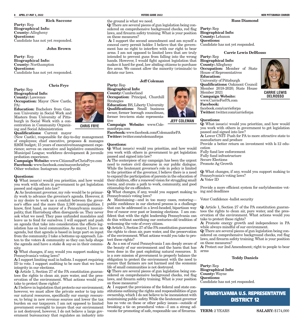#### Rick Saccone

Party: Rep Biographical Info: County: Allegheny Questions: Candidate has not yet responded.

#### John Brown

Party: Rep Biographical Info: County: Northampton Questions: Candidate has not yet responded.

#### Chris Frye

Party: Rep Biographical Info: County: Lawrence Occupation: Mayor (New Castle, PA)

Education: Bachelors from Gannon University in Social Work and Masters from University of Pittsburgh in Social Work with a concentration in Community Organizing and Social Administration

Qualifications: Current mayor (New Castle), responsible for day-to-day management of employees; chief executive, proposes & manages \$26M budget; 15 years of executive/management experience; serves on executive and legislative committees Municipal League; workforce development & juvenile probation experience.

Campaign Website: www.CitizensForChrisFrye.com Facebook: www.facebook.com/mayorchrisfrye Other websites: Instagram: mayorfrye4lt

#### Questions:

Q: What issue(s) would you prioritize, and how would you work with others in government to get legislation passed and signed into law?

 A: As lieutenant governor, my role would be to primarily work to advance the governor's agenda. However, it is my desire to work as a conduit between the governor's office and the more than 2,500 municipalities. I know, first hand, as mayor of a Pennsylvania municipality, that Harrisburg often disregards us. They never ask what we need. They pass unfunded mandates and leave us to fend for ourselves. I will support and push an agenda that take into consideration the effects legislation has on local communities. As mayor, I have an agenda, but that agenda is based in large part on input from the community. I take a bottoms up approach. Listen to the voters & community so they can help shape the agenda and have a stake  $\&$  say-so in their community.

Q: What changes, if any, would you support making to Pennsylvania's voting laws?

A: I support limiting mail in ballots. I support requiring ID to vote. I support auditing to be sure that we have integrity in our elections.

Q: Article 1, Section 27 of the PA constitution guarantees the rights to clean air, pure water, and the preservation of the environment. What actions would you take to protect these rights?

A: I believe in legislation that protects our environment; however, we must allow the private sector to tap into our natural resources, specifically our energy resources, to bring in new revenue sources and lower the tax burden on our taxpayers. I am not opposed to limited government oversight to insure that our environment is not destroyed, however, I do not believe a large government bureaucracy that regulates an industry into

Q: There are several pieces of gun legislation being considered on comprehensive background checks, red flag laws, and firearm safety training. What is your position on these measures?

 A: I support the second amendment and am myself a conceal carry permit holder. I believe that the government has no right to interfere with our right to bear arms. I am not opposed to limited laws that are truly intended to prevent guns from falling into the wrong **Party:** Rep hands. However, I would fight against legislation that makes it hard for good, law abiding citizens to purchase fire arms. We cannot allow the minority (criminals) to dictate our laws.

#### Jeff Coleman

Party: Rep

#### Biographical Info: County: Cumberland Occupation: Principal, Churchill

Strategies Education: BS, Liberty University

Qualifications: Small business owner, former borough councilman, former two-term state representative

Campaign Website: www.Colemanforpa.com

Facebook: www.facebook.com/ColemanforPA Twitter: twitter.com/colemanforpa

#### Questions:

**CHRIS FRYE**

Q: What issue(s) would you prioritize, and how would you work with others in government to get legislation passed and signed into law?

A: The centerpiece of my campaign has been the urgent need to restore civil discourse in our public dialogue. While the lieutenant governor's role in policy is limited to the priorities of the governor, I believe there is a need to expand the participation of parents in the education of their children, offer a renewed vision for struggling small towns, and create a path to work, community, and good citizenship for ex-offenders.

Q: What changes, if any, would you support making to Pennsylvania's voting laws?

A: Maintaining—and in too many cases, restoring public confidence in our electoral process is a challenge that can be addressed in a level-headed, bipartisan way free of rancor over past or looming elections. I am confident that with the right leadership Pennsylvania can do this without sacrificing our centuries-old tradition of welcoming the vote of every citizen.

Q: Article 1, Section 27 of the PA constitution guarantees the rights to clean air, pure water, and the preservation of the environment. What actions would you take to protect these rights?

A: As a son of rural Pennsylvania I am deeply aware of the beauty of our environment and the harm that has been done in the past exploiting natural resources. It is a core mission of government to properly balance the obligation to protect the environment with the need to ensure that farmers are not harmed and the economic life of small communities is not destroyed.

Q: There are several pieces of gun legislation being considered on comprehensive background checks, red flag laws, and firearm safety training. What is your position on these measures?

A: I support the provisions of the federal and state constitutions outlining the rights and responsibilities of gun ownership, which  $\bar{I}$  do not believe to be inconsistent with maintaining public safety. While the lieutenant governor has no vote on these or other policy issues—outside of breaking a tie on procedural votes—I am a strong advocate for promoting of safe, responsible use of firearms.



Party: Rep Biographical Info: County: Lebanon Questions: Candidate has not yet responded.

#### Carrie Lewis DelRosso

Biographical Info: County: Allegheny Occupation: Member of State House of Representatives Education: University of Pittsburgh Qualifications: Oakmont Council Member 2018-2020; State House Member 2021 Campaign Website: www.CarrieForPA.com Facebook: facebook.com/carrieforpa



**CARRIE LEWIS DELROSSO**

Twitter: twitter.com/carrieforpa

#### Questions:

Q: What issue(s) would you prioritize, and how would you work with others in government to get legislation passed and signed into law? A: Lower CNIT- Push for PA to more attractive state to manufacture and produce Provide a better return on investment with k-12 education Fully fund law enforcement Fully fund infrastructure Secure Elections Promote Ag Growth

Q: What changes, if any, would you support making to Pennsylvania's voting laws? A: Voter ID

Provide a more efficient system for early/absentee voting and deadlines

Voter Confidence -ballot security

Q: Article 1, Section 27 of the PA constitution guarantees the rights to clean air, pure water, and the preservation of the environment. What actions would you take to protect these rights?

A: Promote energy growth and independence in PA while always mindful of our environment.

Q: There are several pieces of gun legislation being considered on comprehensive background checks, red flag laws, and firearm safety training. What is your position on these measures?

A: Protect our 2nd Amendment; right to people to bear arms

#### Teddy Daniels

Party: Rep Biographical Info: County: Wayne Questions: Candidate has not yet responded.

### PENNSYLVANIA U.S. REPRESENTATIVE DISTRICT 12

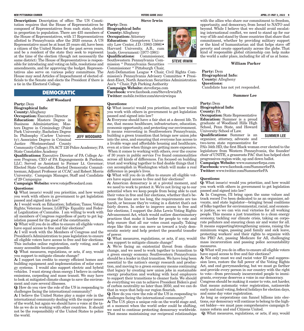#### **NEW PITTSBURGH COURIER VOTERS GUIDE 2022 APRIL 27-MAY 3, 2022 9**

Description: Description of office: The US Constitution requires that the House of Representatives be composed of Representatives from each state, elected in proportion to population. There are 435 members of the House of Representatives, with 17 Representatives allotted to Pennsylvania after the 2020 census. A US Representative must be at least 25 years old, have been a citizen of the United States for the past seven years, and be a resident of the state they seek to represent at the time of the election (though not necessarily the same district). The House of Representatives is responsible for introducing and voting on bills, resolutions and amendments, and for approving the budget. Representatives also serve on various policy committees. The House may send Articles of Impeachment of elected officials to the Senate and elects the President if there is a tie in the Electoral College.

### DEMOCRATIC

#### Jeff Woodard

Party: Dem Biographical Info: County: Allegheny Occupation: Executive Director Education: Masters Degree in Business Administartion; Masters Degree in Criminology (Point Park University; Bachelors Degree In Philosophy (Carlow University); Associates Degree in Criminal Justice (Westmoreland County



**JEFF WOODARD**

Community College); PA ACT 120 Police Academey; PA State Constables Academy

Qualifications: Executive Director of PA College Access Program; CEO of PA Expungements & Pardons, LLC; Served as Assistant to Former Lt. Governor; Elected State Constable; Elected Democratic Committeeman; Adjunct Professor at CCAC and Robert Morris University; Campaign Manager, Staff and Candidate of 29 Campaigns

Campaign Website: www.votejeffwoodard.com

#### Questions:

Q: What issue(s) would you prioritize, and how would you work with others in government to get legislation passed and signed into law?

A: I would work on Education; Inflation; Taxes; Voting Rights; Veterans Issues; LGBTQ+ Equality and Federal Legalization of Cannabis. I am willing to work with all members of Congress regardless of party to get legislation passed for the good of the constituents.

Q: What will you do in office to ensure all eligible voters have equal access to free and fair elections?

A: I will work with the Members of Congress and the President's Administration to pass legislation to ensure all eligible voters have access to free and fair elections. This includes online registration, early voting, and as many accessible locations possible.

Q: What measures, regulations, or acts, if any, would you support to mitigate climate change?

A: I support tax credits to energy efficient homes and building equipment and implementation of solar energy systems. I would also support electric and hybrid vehicles. I want strong clean energy. I believe in carbon emissions, carpooling and mass transit. We may have to look at mitigated climate change to save the environment and cure several illnesses.

Q: How do you view the role of the US in responding to challenges facing the international community?

A: I believe the United States play a major role in the international community dealing with the major issues of the world, but again we should have a voice at the table as we do in working with other countries. It should not be the responsibility of the United States to police the world.

#### Steve Irwin Party: Dem Biographical Info: County: Allegheny Occupation: Attorney Education: Georgetown University Law Center, J.D. (1983-1986)• Harvard University, A.B., cum laude, Government (1977-1981) Qualifications: Commissioner,

Southwestern Pennsylvania Commission \* Pennsylvania Securities Commissioner \* Pittsburgh Chair,

Anti-Defamation League • Chair, Civil Rights Commission's Pennsylvania Advisory Committee • President-Elect, North American Securities Administration Ass'n \* Chair, Pgh Parking Authority

Campaign Website: steveforpa.com Facebook: www.facebook.com/SteveIrwinPA Twitter: mobile.twitter.com/steveirwinpa

#### Questions:

Q: What issue(s) would you prioritize, and how would you work with others in government to get legislation passed and signed into law?

A: Everyone should have a fair shot at a decent life. To me, that means healthcare, infrastructure, education, economic opportunity, and protecting our environment. It means reinvesting in Southwestern Pennsylvania, building a green transition that brings new union jobs into the area, and ensuring that everyone has access to a livable wage and affordable housing and healthcare, even at a time when things are getting more expensive. When it comes to working with others, over the course of 30 years in public service I've found commonalities across all kinds of differences. I'm focused on building trust and working together to find doable things that I can accomplish in Washington which will make a real difference in people's lives.

Q: What will you do in office to ensure all eligible voters have equal access to free and fair elections?

A: American democracy is at a pivotal moment, and we need to work to protect it. We're not living up to our potential when we keep people from being able to cast their votes in free and fair elections, whether that's because the lines are too long, the requirements are too harsh, or because they're voting in a district that's not fairly drawn. In order to improve access to free and fair elections, I support the John Lewis Voting Rights Advancement Act, which would outlaw discriminatory practices that make it harder for people to vote and help ensure that all our votes count equally. Taking steps like this one can move us toward a truly democratic society and help protect the peaceful transfer of power.

Q: What measures, regulations, or acts, if any, would you support to mitigate climate change?

A: We're facing an existential threat from climate change, and we need to work together to transition to a green energy economy. Southwestern Pennsylvania should be a leader in that transition. We have long been essential to the nation's energy research and production, and moving to a green economy means continuing that legacy by creating new union jobs in sustainable energy production and working with local employers to support their transitions to cleaner fuels. We should do everything we can to achieve President Biden's goal of carbon neutrality no later than 2050, and we can do that in ways that help our region flourish.

Q: How do you view the role of the US in responding to challenges facing the international community?

A: The U.S. plays a unique role on the world stage and, at a moment when the world order could be shifting, we need to continue protecting democracy worldwide. That means maintaining our reciprocal relationships



#### William Parker

Party: Dem Biographical Info: County: Allegheny Questions: Candidate has not yet responded.

#### Summer Lee

#### Party: Dem Biographical Info: County: PA

**Occupation:** State Representative Education: Summer is a proud graduate of Woodland Hills High School, Penn State, and Howard University School of Law.

Qualifications: Summer is an organizer, attorney, advocate and two-term state representative for

PA's 34th HD, the first Black woman ever elected to the legislature from Western Pennsylvania, the founder/ chair of UNITE, a grassroots PAC that has helped elect progressives region-wide, up and down ballot. Campaign Website: www.summerforpa.com Facebook: www.facebook.com/SummerforPA

**SUMMER LEE**

Twitter: www.twitter.com/SummerforPA

#### Questions:

Q: What issue(s) would you prioritize, and how would you work with others in government to get legislation passed and signed into law?

A: In Congress, I'll bring upon the same values and track record I've been dedicated to as an organizer, advocate, and state legislator—bringing broad coalitions of folks together for environmental, racial, and economic justice, so we can win real victories for all working people. This means a just transition to a clean energy economy, tackling our climate crisis, taking on corporate polluters and ensuring clean air and water for all. It means supporting/strengthening unions, raising the minimum wages, passing paid family and sick leave, protecting workers' and their rights to organize with the PRO Act, passing Medicare for All, challenging mass incarceration and passing police accountability measures.

Q: What will you do in office to ensure all eligible voters have equal access to free and fair elections?

A: Not only must we end racist voter ID and suppression laws, restore the full power of the Voting Rights Act, and end gerrymandering, but we must go farther and provide every person in our country with the right to vote—from previously incarcerated people to immigrants, everyone deserves a voice in our democracy.

Congress should be making it easier to vote, not harder, that means automatic voter registration, nationwide early and mail voting, federal holidays for election days, and same day voter registration.

As long as corporations can funnel billions into elections, our democracy will continue to belong to the highest bidder—we must pass comprehensive campaign finance reform and end Citizens United.

Q: What measures, regulations, or acts, if any, would



**STEVE IRWIN**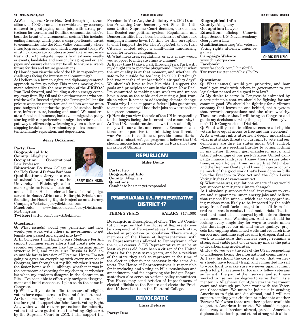#### **10 APRIL 27-MAY 3, 2022 VOTERS GUIDE 2022 NEW PITTSBURGH COURIER**

A: We must pass a Green New Deal through a just transition to a 100% clean and renewable energy economy, centered in good-paying union jobs, with strong protections for workers and frontline communities who've born the brunt of environmental racism. This includes ending fracking, which poses a disproportionate threat to communities like the Mon Valley community where I was born and raised, and which I represent today. We must hold corporate polluters accountable, invest in infrastructure to mitigate impacts from extreme weather events, landslides and erosion, fix aging and or lead pipes, and ensure clean water for all, to ensure a livable future for this and future generations.

challenges facing the international community?

A: I believe in a human rights and diplomacy centered approach to foreign policy. This means moving diplomatic solutions like the new version of the JHCPOA/ Iran Deal forward, and building a clean energy economy, away from Big Oil and the authoritarians who control the wells. Instead of giving the Pentagon billions for private weapons contractors and endless war, we must pass budgets that prioritize people (education, health care, infrastructure, housing and more). We must create a functional, humane, inclusive immigration policy, starting with comprehensive immigration reform and a pathway to citizenship, welcoming asylum-seekers and stopping brutal and discriminatory policies around detention, family separation, and deportation.

#### Jerry Dickinson

Party: Dem Biographical Info: County: Allegheny Occupation: Constitutional Law Professor

Education: BA from College of the Holy Cross, J.D. from Fordham Qualifications: Jerry is a constitutional law professor at the University of Pittsburgh, a human rights activist, a husband,

and a father. He has clerked for a federal judge, served in South Africa as a Fulbright Scholar, and founding the Housing Rights Project as an attorney. Campaign Website: jerrydickinson.com

Facebook: www.facebook.com/JerryDickinson-ForCongress

Twitter: twitter.com/JerrySDickinson

#### Questions:

Q: What issue(s) would you prioritize, and how would you work with others in government to get legislation passed and signed into law?

A: In Congress I will fight to pass Medicare For All, support common sense efforts that create jobs and rebuild our communities like the bipartisan infrastructure bill, and make sure Russia is held accountable for its invasion of Ukraine. I know I'm not going to agree on everything with every member of Congress, but throughout my life, whether it was in the foster home with 11 siblings, whether it was in the courtroom advocating for my clients, or whether it's when my students disagree in the classroom at Pitt—I've been able to effectively navigate disagreement and build consensus. I plan to do the same in Congress.

Q: What will you do in office to ensure all eligible voters have equal access to free and fair elections? A: Our democracy is facing an all out assault from the far right. I support the John Lewis Voting Right Act, which would restore protections for minority voters that were gutted from the Voting Rights Act by the Supreme Court in 2013. I also support the

Freedom to Vote Act, the Judiciary Act (2021), and Biographical Info: the Protecting Our Democracy Act. Since the Citizens United Supreme Court decision, dark money has flooded our political system. Republicans and Democrats alike have been beneficiaries of these lax campaign finance laws. It's time for this corruption to end. I support the For The People Act, to overturn Citizens United, adopt a small-dollar fundraising model for federal campaigns.

Q: What measures, regulations, or acts, if any, would you support to mitigate climate change?

Q: How do you view the role of the US in responding to the air quality is at that moment, and whether it's A: Every time I take a walk through Frick Park with my daughters to go to the playground, I wonder what safe to be outside for too long. In 2020, Pittsburgh had two months of "unbreathable air quality days". We shouldn't have to live like this. I support the goals and principles set out in the Green New Deal. I'm committed to making sure workers and unions have a seat at the table and ensuring a just transition when it comes to addressing climate change. That's why I also support a federal jobs guarantee, to ensure no one will lose their jobs as we transition to a green economy.

Q: How do you view the role of the US in responding to challenges facing the international community? A: The U.S. should continue down the road of diplomacy with our allies and enemies. Economic sanctions are imperative to minimizing the threat of war. We need to continue to provide humanitarian aid and a robust refugee program. I believe the U.S. should impose harsher sanctions on Russia for their invasion of Ukraine.

### **REPUBLICAN**

Mike Doyle

Party: Rep Biographical Info: County: Allegheny Questions: Candidate has not yet responded.

### PENNSYLVANIA U.S. REPRESENTATIVE DISTRICT 17

### **TERM:** 2 YEARS **SALARY:** \$174,000

Description: Description of office: The US Constitution requires that the House of Representatives be composed of Representatives from each state, elected in proportion to population. There are 435 members of the House of Representatives, with 17 Representatives allotted to Pennsylvania after the 2020 census. A US Representative must be at least 25 years old, have been a citizen of the United States for the past seven years, and be a resident of the state they seek to represent at the time of the election (though not necessarily the same district). The House of Representatives is responsible for introducing and voting on bills, resolutions and amendments, and for approving the budget. Representatives also serve on various policy committees. The House may send Articles of Impeachment of elected officials to the Senate and elects the President if there is a tie in the Electoral College.

### DEMOCRATIC

Chris Deluzio

Party: Dem

County: Allegheny Occupation: Lawyer Education: Bishop Canevin High School, U.S. Naval Academy, Georgetown Law Qualifications: Iraq War veteran, Voting rights attorney, union organizer

Campaign Website: www.chrisforpa.com Facebook:

www.facebook.com/ChrisforPA Twitter: twitter.com/ChrisForPA

#### Questions:

Q: What issue(s) would you prioritize, and how would you work with others in government to get legislation passed and signed into law?

A: My desire to serve in Congress is animated by a core principle that we should be fighting for our common good. We should be fighting for a vibrant economy that leaves no one behind, not a system that rewards corporations and the ultra wealthy. These are values that I will bring to Congress and guide my decisions serving the people of Pennsylvania's 17th Congressional District.

Q: What will you do in office to ensure all eligible voters have equal access to free and fair elections?

A: As a voting rights attorney, I deeply understand what is at stake; threats to our right to vote and our democracy are dire. In states under GOP control, Republicans are erecting hurdles to voting, locking in majorities through gerrymandered maps, and taking advantage of our post-Citizens United campaign finance landscape. I know these issues (elections, especially) well from my work at Pitt Cyber and the Brennan Center, and I would hope to continue much of the good work that's been done on bills like the Freedom to Vote Act and the John Lewis Voting Rights Advancement Act.

Q: What measures, regulations, or acts, if any, would you support to mitigate climate change?

A: I absolutely support federal investment to create and support new union energy jobs and believe that regions like mine -- which are energy-producing regions most likely to be impacted by the shift away from fossil fuels -- ought to benefit from federal resources to combat the climate crisis. That investment must also be buoyed by climate resilience investments from Washington. And we should be looking every single day for ways to create union jobs that improve our air and water quality: projects like capping abandoned wells and research into carbon and methane capture and hydrogen. And I'll work to make sure that nuclear energy remains a strong and viable part of our energy mix as the path to decarbonizing accelerates.

Q: How do you view the role of the US in responding to challenges facing the international community?

A: I saw firsthand the costs of a war that we never should have fought (Iraq), and committed myself to work hard to make sure we never again commit such a folly. I have seen far too many fellow veterans suffer with the pain of their service, and so I have worked to use my law degree to serve them: as a mentor in Allegheny County's veterans treatment court and through pro bono work with the Veterans Consortium. We must be judicious in sending Americans to fight and die abroad, and I will not support sending your children or mine into another 'Forever War' when there are other options available to protect American interests. We should support democracy and freedom abroad, provide American diplomatic leadership, and stand strong with allies.

**CHRIS DELUZIO**



**JERRY DICKINSON**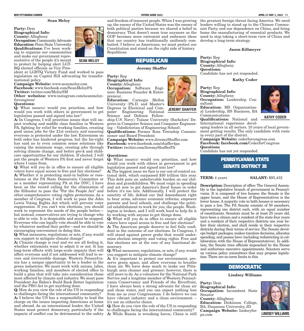#### Sean Meloy

Party: Dem Biographical Info: County: Allegheny Occupation: Community Advocate Education: Penn State University Qualifications: I've been working to organize our communities and make our government representative of the people it's meant to protect by helping elect LGT-BQ elected officials as Vice Pres-

ident at LGBTQ Victory Fund and worked to pass legislation on Capitol Hill advocating for transformational policy.

Campaign Website: www.seanmeloy.com

Facebook: www.facebook.com/SeanMeloyPA Twitter: twitter.com/MeloySM

Other websites: www.instagram.com/seanmeloyforcongress/

#### Questions:

Q: What issue(s) would you prioritize, and how would you work with others in government to get legislation passed and signed into law?

A: In Congress, I will prioritize issues that will impact working and middle class families in Western PA, fighting for relief for working families, creating good union jobs for the 21st century, and ensuring everyone is protected under the law. Extremism on both sides has hindered progress, but the far-right has said no to even common sense solutions like raising the minimum wage, creating jobs through solving climate change, and better pre-k and childcare opportunities for our children. If elected, I will put the people of Western PA first and never forget where I came from.

Q: What will you do in office to ensure all eligible voters have equal access to free and fair elections? A: Whether it is protecting mail-in ballots or resolutions at the PA State Democratic Committee or as a member representing PA at the DNC, I have been on the record calling for the elimination of the filibuster to pass the "For the People Act" and other comprehensive voting rights protections. As a member of Congress, I will work to pass the John Lewis Voting Rights Act which will prevent voter suppression. If you can't win elections, you should work to represent the needs of the people better but instead, conservatives are trying to change who is able to vote. It is despicable and must be stopped. Everyone who can legally vote should be able to vote by whatever method they prefer—and we should be encouraging convenience in doing this.

Q: What measures, regulations, or acts, if any, would you support to mitigate climate change?

A: Climate change is real and we are all feeling it, whether extremists want to admit it or not. It has long-term effects with large-scale impacts that will affect everyone and if not addressed will lead to severe and irreversible damage. Western Pennsylvania has a unique opportunity to be a leader in the green industries. We must work with unions, labor, working families, and members of elected office to build a plan that will take into consideration those most affected by climate and industry. We must pass President Joe Biden's Build Back Better legislation and the PRO Act to get anything done.

Q: How do you view the role of the US in responding to challenges facing the international community? A: I believe the US has a responsibility to lead the charge on the issues impacting Americans at home and abroad. As an international leader, the United States must protect democracy, particularly if the to challenges facing the international community? impacts of conflict can be detrimental to the safety  $\bf{A}$ : While Russia is wreaking havoc, China is still



**SEAN MELOY**

and freedom of innocent people. When I was growing up, the enemy of the United States was the enemy of both political parties because we shared a belief in democracy. That doesn't seem true anymore as the that our country has traditionally uniformly combatted. I believe as Americans, we must protect our Constitution and stand on the right side of history.

### **REPUBLICAN**

#### Jeremy Shaffer

Party: Rep Biographical Info: County: Allegheny Occupation: Software Engineer. Business Founder & Entrepreneur.

Education: Carnegie Mellon University (Ph.D. and Master's Degrees in Electrical and Computer Engineering National

Science and Defense Fellowship-U.S. Navy). Tulane University (Bachelors' De-

grees in Computer Science and Computer Engineering – Valedictorian of Engineering School). Qualifications: Former Ross Township Commis-

**JEREMY SHAFFER**

sioner and Board President Campaign Website: www.JeremyShaffer.com Facebook: www.facebook.com/shaffer4pa Twitter: twitter.com/JeremyShafferPA

#### Questions:

Q: What issue(s) would you prioritize, and how would you work with others in government to get legislation passed and signed into law?

A: The biggest issue we face is our out-of-control national debt, which surpassed \$30 trillion this year. This debt puts an unbelievable burden on our children and grandchildren. We must reign in spending and act now to get America's fiscal house in order before it's too late. Additionally, I will protect the sanctity of life, defend our 2nd Amendment right to bear arms, advance economic reforms, empower parents and local schools, and challenge the political establishment to work for you, the people. Washington is broken, and I will work hard to help fix it by working with anyone to get things done.

Q: What will you do in office to ensure all eligible voters have equal access to free and fair elections? A: The American people deserve to feel fully confident in the outcome of our elections. In Congress, I will stand against power grabs that would undermine election integrity and voting rights. Free and fair elections are at the core of any functional democracy.

Q: What measures, regulations, or acts, if any, would you support to mitigate climate change?

A: It's important to protect our environment, preserve green space, and allow everyone to breathe clean air. We have done much to make our Pittsburgh area cleaner and greener; however, there is still more to do. As a volunteer for the National Park Service and a longtime member of Western Pennsylvania Conservancy and Friends of the Riverfront, I have always been a strong advocate for clean air and clean water, and you can expect nothing less from me as your Congressman. I do believe we can have vibrant industry and a clean environment -it's not an either/or choice.

Q: How do you view the role of the US in responding

GOP becomes more extremist and embraces ideas need to stop taking a short-term view of China and the greatest foreign threat facing America. We need leaders willing to stand up to the Chinese Communist Party, end our dependence on China, and bring home the manufacturing of essential products. We develop a long-term strategy.

#### Jason Killmeyer

Party: Rep Biographical Info: County: Allegheny Questions: Candidate has not yet responded.

Kathy Coder

Party: Rep Biographical Info: County: Allegheny Occupation: Leadership Consultant

Education: MS Organizational Leadership, BS Business, BA Communications Qualifications: National and



**KATHY CODER**

International experience devel-

oping leaders in all sectors. 10 years of local government getting results. The only candidate with roots in every part of the district.

Campaign Website: coderforcongress.com Facebook: facebook.com/CoderforCongress Questions

Candidate has not yet responded.

### PENNSYLVANIA STATE SENATE DISTRICT 38

**TERM:** 4 years **SALARY:** \$95,432

**Description:** Description of office: The General Assembly is the legislative branch of government in Pennsylvania. It is composed of two houses: the Senate is the upper house, and the House of Representatives is the lower house. A majority vote in both houses is necessary to pass a law. The PA Senate consists of 50 members, representing one district each, with an equal number of constituents. Senators must be at least 25 years old, have been a citizen and a resident of the state four years and a resident of their respective districts one year before their election, and shall reside in their respective districts during their terms of service. The Senate develops budget packages, makes taxation decisions, allocates spending, and passes laws (including redistricting in collaboration with the House of Representatives). In addition, the Senate tries officials impeached by the House and authorizes executive appointments. Senators serve on various policy committees that may propose legislation. There are no term limits to this

### DEMOCRATIC

Lindsey Williams

Party: Dem Biographical Info: Occupation: Incumbent State Senator

County: Allegheny Education: Dickinson College, BA; Duquesne University, JD Campaign Website: lindseyfor-

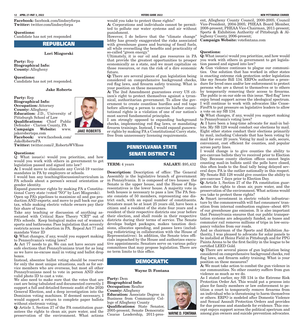Facebook: facebook.com/lindseyforpa Twitter: twitter.com/lindseyforpa

#### Questions:

Candidate has not yet responded

### **REPUBLICAN**

#### Lori Mizgorski

Party: Rep Biographical Info: County: Allegheny

#### Questions:

Candidate has not yet responded.

#### Jake Roberts

Party: Rep Biographical Info: Occupation: Attorney County: Allegheny Education: J.D., University of Pittsburgh School of Law Qualifications: Chief Public Defender - Clarion County, PA<br>Campaign Website: ww Campaign Website: www. jakerobertspa.com

Facebook: www.facebook.com/ **JAKE ROBERTS**

Twitter: twitter.com/J\_RobertsWVRoss

#### Questions:

JakeRobertsPA

Q: What issue(s) would you prioritize, and how would you work with others in government to get legislation passed and signed into law?

A: I would move to eliminate any Covid-19 vaccine mandates in PA by employers or schools.

I would ban any teaching/discussion/curriculum in PA schools about a person's sexual orientation or gender identity.

Expand gunowner rights by making PA a Constitutional Carry state (voted "NO" by Lori Mizgorski). Open up PA's pipelines to maximize oil and gas production AND exports; and move to pull back our gas tax, while making electric vehicle owners pay their fair share of taxes.

Take any teaching or discussion of anything associated with Critical Race Theory "CRT" out of PA's schools. Keep biological males out of women's sports and bathrooms. Pass legislation that severely restricts access to abortion in PA. Repeal Act 77 and mandate Voter ID

Q: What changes, if any, would you support making to Pennsylvania's voting laws?

A: Act 77 needs to go. We can not have secure and safe elections that Pennsylvanians trust for as long as we have no-excuse mail in voting and ballot drop boxes.

Instead, absentee ballot voting should be reserved for only the most unique situations, such as for service members who are overseas, but most all other Pennsylvanians need to vote in person AND show valid photo ID to cast a vote.

We also need to make sure that the votes that are cast are being tabulated and documented correctly. I support a full and detailed forensic audit of the 2020 General Election, and a deep investigation into the Dominion voting machines. If deemed necessary, I would support a return to complete paper ballots without electronic voting.

Q: Article 1, Section 27 of the PA constitution guarantees the rights to clean air, pure water, and the preservation of the environment. What actions would you take to protect these rights?

A: Corporations and individuals cannot be permitted to pollute our water systems and air without punishment.

However, I do believe that the "climate change" lobby has grossly exaggerated the risks associated with greenhouse gases and burning of fossil fuels, all while overselling the benefits and practicality of so-called "green energy."

Ultimately, it is our oil and gas resources in PA that provide the greatest opportunities to prosper economically as a state, and we must capitalize on those resources, or run the risk of a dire economic future.

considered on comprehensive background checks, red flag laws, and firearm safety training. What is your position on these measures?

A: The 2nd Amendment guarantees every US citizen's right to protect themselves against a tyrannical, authoritarian government. To allow the government to create countless hurdles and red tape tutional rights is a violation of one of our nation's most sacred fundamental principles.

I am strongly opposed to expanding background checks, implementing red flag laws, or mandating firearm trainings. Instead, I would expand gunowner rights by making PA a Constitutional Carry state, free from unnecessary licensing requirements.

### PENNSYLVANIA STATE SENATE DISTRICT 42

#### **TERM:** 4 years **SALARY:** \$95,432

Description: Description of office: The General Assembly is the legislative branch of government in Pennsylvania. It is composed of two houses: the Senate is the upper house, and the House of Representatives is the lower house. A majority vote in both houses is necessary to pass a law. The PA Senate consists of 50 members, representing one district each, with an equal number of constituents. Senators must be at least 25 years old, have been a citizen and a resident of the state four years and a resident of their respective districts one year before their election, and shall reside in their respective districts during their terms of service. The Senate develops budget packages, makes taxation decisions, allocates spending, and passes laws (including redistricting in collaboration with the House of Representatives). In addition, the Senate tries officials impeached by the House and authorizes executive appointments. Senators serve on various policy committees that may propose legislation. There are no term limits to this office.

#### DEMOCRATIC

#### Wayne D. Fontana

Party: Dem Biographical Info: Occupation: Realtor County: Allegheny Education: Associate Degree in Business from Community College of Allegheny County Qualifications: State Senator, 2005-present; Senate Democratic Caucus Leadership, 2011-pres-

ent, Allegheny County Council, 2000-2005; Council Vice-President, 2004-2005; PHEAA Board Member, 2008-present; PHEAA Vice-Chairman, 2011-present; Sports & Exhibition Authority of Pittsburgh & Allegheny County, 2006-present;

Campaign Website: votefontana.com

#### Questions:

Q: What issue(s) would you prioritize, and how would you work with others in government to get legislation passed and signed into law?

Q: There are several pieces of gun legislation being is enacting extreme risk protection order legislation before allowing a person to exercise his/her consti-FirePA to put pressure on legislative leaders to allow A: Gun violence continues to plague our communities. One solution that has worked in other states like my Senate Bill 134. ERPOs authorize a procedure for loved ones and/or law enforcement to protect persons who are a threat to themselves or to others by temporarily removing their access to firearms. The public is on our side on this issue. "Red flag" laws enjoy broad support across the ideological spectrum. I will continue to work with advocates like Ceasea vote on my SB 134.

Q: What changes, if any, would you support making to Pennsylvania's voting laws?

A: I have been a long-time advocate for mail-in ballots. My SB 128 would conduct our elections by mail. Eight other states conduct their elections primarily by mail, including Colorado that has been voting by mail for over 20 years. Voting by mail is safe, secure, convenient, cost efficient for counties, and popular across party lines.

I would change is to give counties the ability to pre-canvass ballots they've received prior to Election Day. Because county election offices cannot begin counting mail-in ballots until the polls have closed, this often leads to the final tally being delayed several days. PA is the outlier nationally in this respect. My Senate Bill 128 would give counties the ability to pre-canvass 7 days prior to Election Day.

Q: Article 1, Section 27 of the PA constitution guarantees the rights to clean air, pure water, and the preservation of the environment. What actions would you take to protect these rights?

A: Smart investment in electric vehicle infrastructure by the commonwealth will fuel consumers' transition from internal combustion engines--about 40% of our greenhouse gas emission. It is also important that Pennsylvania ensures that our public transportation systems are adequately funded, as buses and commuter rail removes millions of trips in low-occupancy vehicles from our roads.

And as chairman of the Sports and Exhibition Authority, I was pleased to advocate for solar panels to be installed at Heinz Field in Pittsburgh and for PPG Paints Arena to be the first facility in the league to be certified LEED Gold.

Q: There are several pieces of gun legislation being considered on comprehensive background checks, red flag laws, and firearm safety training. What is your position on these measures?

A: We must take action to combat the gun violence in our communities. No other country suffers from gun violence as much as we do.

As I stated earlier, my SB 134 is the Extreme Risk Protection Order Act. This would put a process into place for family members or law enforcement to petition a court to temporarily remove firearms from an individual who is threatening to harm themselves or others. ERPO is modeled after Domestic Violence and Sexual Assault Protection Orders and provides for due process and standards for evidence. This concept enjoys support across the political spectrum and **WAYNE D. FONTANA** among gun owners and suicide prevention advocates.

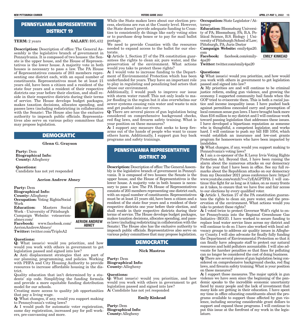### PENNSYLVANIA REPRESENTATIVE **DISTRICT 19**

**TERM:** 2 years **SALARY:** \$95,432

Description: Description of office: The General Assembly is the legislative branch of government in Pennsylvania. It is composed of two houses: the Senate is the upper house, and the House of Representatives is the lower house. A majority vote in both houses is necessary to pass a law. The PA House of Representatives consists of 203 members representing one district each, with an equal number of constituents. Representatives must be at least 21 years old, have been a citizen and a resident of the state four years and a resident of their respective districts one year before their election, and shall reside in their respective districts during their terms of service. The House develops budget packages, makes taxation decisions, allocates spending, and passes laws (including redistricting in collaboration with the Senate). The House also has the exclusive authority to impeach public officials. Representatives also serve on various policy committees that may propose legislation.

### DEMOCRATIC

Glenn G. Grayson

Party: Dem Biographical Info: County: Allegheny

Questions: Candidate has not yet responded

#### Aerion Andrew Abney

Party: Dem Biographical Info: County: Allegheny Occupation: Voting Rights/Social Work<br>**Education:** Masters Social Work - University of Pittsburgh Campaign Website: voteaerionabney.com/ Facebook: www.facebook.com/ AerionAndrewAbney/ Twitter: twitter.com/TripleA2

#### Questions:

Q: What issue(s) would you prioritize, and how would you work with others in government to get legislation passed and signed into law?

A: Anti displacement strategies that are part of our planning, programming, and policies. Working with PHFA and City Housing Authority to provide resources to increase affordable housing in the district.

Quality education that isn't determined by a students' zip code. Simplifying the funding formula and provide a more equitable funding distribution model for our schools.

Creating more access to quality job opportunities A: Candidate has not yet responded that pay a living wage.

Q: What changes, if any, would you support making to Pennsylvania's voting laws?

A: I would push for automatic voter registration, same day registration, increased pay for poll workers, pre-canvassing and more.

While the State makes laws about our election process, elections are run at the County level. However, the State doesn't provide adequate funding to Counties to consistently do things like early voting sites or to purchase drop boxes or to pay for mail ballot postage.

We need to provide Counties with the resources needed to expand access to the ballot for our electorate.

Q: Article 1, Section 27 of the PA constitution guarantees the rights to clean air, pure water, and the preservation of the environment. What actions **Twitter:** twitter.com/emily4pa20 would you take to protect these rights?

A: I would vote to increase funding to the Department of Environmental Protection which has been underfunded for years. They have an important role to play in regulating and penalizing bad actors that abuse our environment.

Additionally, I would push to improve our issue with storm water runoff. This not only leads to major flooding in the region but it also overwhelms our sewer systems causing rain water and waste to mix and get pushed into our rivers.

Q: There are several pieces of gun legislation being considered on comprehensive background checks, red flag laws, and firearm safety training. What is your position on these measures?

A: I support any measure that seeks to keep firearms out of the hands of people who want to cause others harm. Additionally, I support gun buy back programs and safety trainings.

### PENNSYLVANIA REPRESENTATIVE DISTRICT 20

Description: Description of office: The General Assembly is the legislative branch of government in Pennsylvania. It is composed of two houses: the Senate is the upper house, and the House of Representatives is the lower house. A majority vote in both houses is necessary to pass a law. The PA House of Representatives consists of 203 members representing one district each, with an equal number of constituents. Representatives must be at least 21 years old, have been a citizen and a resident of the state four years and a resident of their respective districts one year before their election, and shall reside in their respective districts during their terms of service. The House develops budget packages, makes taxation decisions, allocates spending, and passes laws (including redistricting in collaboration with the Senate). The House also has the exclusive authority to impeach public officials. Representatives also serve on various policy committees that may propose legislation.

### DEMOCRATIC

#### Nick Mastros

Party: Dem Biographical Info: County: Allegheny

#### Questions:

Q: What issue(s) would you prioritize, and how would you work with others in government to get legislation passed and signed into law?

#### Emily Kinkead

Party: Dem Biographical Info: County: Allegheny

Occupation: State Legislator / Attorney

Education: Bloomsburg University of PA; Bloomsburg, PA; B.A. Political Science, B.S. Biology | University of Pittsburgh School of Law; Pittsburgh, PA; Juris Doctor Campaign Website: emily4pa20.

com<br>Facebook:

Facebook: facebook.com/emily-4pa20

#### Questions:

Q: What issue(s) would you prioritize, and how would you work with others in government to get legislation passed and signed into law?

A: My priorities are and will continue to be criminal justice reform, ending gun violence, and growing the economy. I supported community bail funds when the GOP tried to eviscerate them. This is both a racial justice and income inequality issue. I have pushed back against permitless concealed carry and preemption of local common sense gun laws. I have brought back more than \$16 million to my district and I will continue work toward passing legislation that addresses these issues. I have developed a bipartisan reputation as someone who is thoughtful, a competent legislator, and works hard. I will continue to push my bill HB 1054, which would establish an insurance and low-cost grants program for homeowners who have been impacted by landslides.

Q: What changes, if any, would you support making to Pennsylvania's voting laws?

A: I am a co-sponsor of the K Leroy Irvis Voting Rights Protection Act. Beyond that, I have been raising the alarm about the numerous attacks on our democracy for the year that I have been in office. See my full remarks about the Republican attacks on our democracy from my December 2021 press conference here: https:// www.youtube.com/watch?v=c7yEAGPTFfA I will continue this fight for as long as it takes, on as many fronts as it takes, to ensure that we have free and fair access to our elections by every qualified voter.

Q: Article 1, Section 27 of the PA constitution guarantees the rights to clean air, pure water, and the preservation of the environment. What actions would you take to protect these rights?

A: I voted twice to protect Governor Wolf's right to enter Pennsylvania into the Regional Greenhouse Gas Initiative (RGGI). I have worked to secure funding to replace lead water service lines across my district and will continue to do so. I have also worked with local advocacy groups to address air quality issues in Allegheny County. I will also advocate for finally fully funding the Department of Environmental Protection so that it can finally have adequate staff to protect our natural resources and hold polluters accountable. I will also advocate for harsher penalties so that fines for polluting can no longer be considered the cost of doing business. Q: There are several pieces of gun legislation being considered on comprehensive background checks, red flag laws, and firearm safety training. What is your position on these measures?

A: I support those measures. The major uptick in gun violence we have seen since the beginning of the pandemic speaks to the incredible economic uncertainty faced by many people and the lack of investment that many kids are getting in their education. I have spent my time in office educating constituents about the programs available to support those affected by gun violence, including securing considerable grant dollars to support and expand these programs. I will continue to put this issue at the forefront of my work in the legislature.



**AERION ANDREW ABNEY**

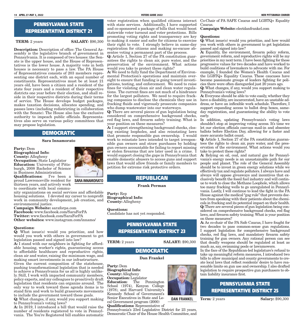### PENNSYLVANIA STATE REPRESENTATIVE DISTRICT 21

#### **TERM:** 2 years **SALARY:** \$90,300

Description: Description of office: The General Assembly is the legislative branch of government in Pennsylvania. It is composed of two houses: the Senate is the upper house, and the House of Representatives is the lower house. A majority vote in both houses is necessary to pass a law. The PA House of Representatives consists of 203 members representing one district each, with an equal number of constituents. Representatives must be at least 21 years old, have been a citizen and a resident of the state four years and a resident of their respective districts one year before their election, and shall reside in their respective districts during their terms of service. The House develops budget packages, makes taxation decisions, allocates spending, and passes laws (including redistricting in collaboration with the Senate). The House also has the exclusive authority to impeach public officials. Representatives also serve on various policy committees that may propose legislation.

### DEMOCRATIC

#### Sara Innamorato

Party: Dem Biographical Info: County: Allegheny Occupation: State Legislator Education: University of Pittsburgh, 2008 Bachelor of Science in Business Administration Qualifications: I've been a proud Lawrenceville resident for thirteen years, and actively work to coordinate with local commu-



nity organizations on social services and affordable housing solutions. I devoted my career to nonprofit work in community development, job creation, and environmental justice.

Campaign Website: saraforpa.com Facebook: www.facebook.com/SaraForPA Twitter: www.facebook.com/SaraForPA Other websites: www.instagram.com/innamo/

#### Questions:

Q: What issue(s) would you prioritize, and how would you work with others in government to get legislation passed and signed into law?

A: I stand with our neighbors in fighting for affordable housing, worker's rights, guaranteeing access to affordable healthcare and reproductive rights, clean air and water, raising the minimum wage, and making smart investments in our infrastructure.

Given the current composition of the statehouse, pushing transformational legislation that is needed to achieve a Pennsylvania for us all is highly unlikely. Still, I work with impacted community members, policy experts, and my colleagues to proactively draft legislation that residents can organize around. The only way to work toward these agenda items is to stand firm and work to build grassroots movements to include the government toward these goals.

Q: What changes, if any, would you support making to Pennsylvania's voting laws?

A: In 2019, I introduced a bill that would raise the number of residents registered to vote in Pennsylvania. The You're Registered bill enables automatic

voter registration when qualified citizens interact with state services. Additionally, I have supported and co-sponsored a package of bills that would boost statewide voter turnout and voter protections. Bills promoting voting rights and transparency are key to making it easier and safer for citizens to exercise their right to vote. I strongly believe in same-day registration for citizens and making no-excuse absentee voting a permanent part of the process.

Q: Article 1, Section 27 of the PA constitution guarantees the rights to clean air, pure water, and the preservation of the environment. What actions would you take to protect these rights?

A: We need to fully fund the Department of Environmental Protection's operations and maintain oversight to ensure that funding is going toward investigations, testing, and enforcement. We need to raise fines for violating clean air and clean water regulations. The current fines are not much of a hindrance for the largest polluters. We need to require fracking companies to disclose the chemicals they use in fracking fluids and vigorously prosecute companies who dump wastewater into our waterways.

Q: There are several pieces of gun legislation being considered on comprehensive background checks, red flag laws, and firearm safety training. What is your position on these measures?

A: I support strengthening background checks, closing existing loopholes, and also reinstating laws that promote responsible gun ownership. I would work to reinstate laws intended to target irresponsible gun owners and straw purchases by holding gun owners accountable for failing to report missing or stolen firearms that are later used in a crime. I would support closing the gaps in Pennsylvania that enable domestic abusers to access guns and support laws that would allow friends or family members to petition for extreme risk protective orders.

### Frank Perman

Party: Rep Biographical Info: County: Allegheny

Questions: Candidate has not yet responded.

### PENNSYLVANIA STATE REPRESENTATIVE DISTRICT 23

**TERM:** 2 years **SALARY:** \$90,300

# DEMOCRATIC

#### Dan Frankel

Party: Dem Biographical Info: County: Allegheny Occupation: Legislator Education: The Pennington School (1974), Kenyon College (1978), and Harvard University's Kennedy School of Government's Senior Executives in State and Local Government program (2000) Qualifications: Representative of

Pennsylvania's 23rd Legislative District for 23 years, Democratic Chair of the House Health Committee, and



Co-Chair of PA SAFE Caucus and LGBTQ+ Equality Caucus.

Campaign Website: electdanfrankel.com

#### Questions:

Q: What issue(s) would you prioritize, and how would you work with others in government to get legislation passed and signed into law?

A: Equality, the environment, firearm policy reform, government reform, and reproductive rights will be my priorities in my next term. I have been fighting for these progressive values for two decades and have worked to build coalitions of lawmakers to advocate with me. For example, I founded the Women's Health Caucus and the LGBTQ+ Equality Caucus. These caucuses have become passionate groups of leaders fighting for policies there were often disregarded just 20 years ago.

Q: What changes, if any, would you support making to Pennsylvania's voting laws?

A: Everyone should be able to vote easily, whether they have a disability, are incarcerated, have an unstable address, or have an inflexible work schedule. Therefore, I support expanding access to ballot drop boxes, sameday registration, and guaranteeing the ability to vote early.

In addition, updating Pennsylvania's voting laws shouldn't stop at improving voting access. It's time we let our election officials canvass mail-in and absentee ballots before Election Day, allowing for a faster and more accurate ballot count.

Q: Article 1, Section 27 of the PA constitution guarantees the rights to clean air, pure water, and the preservation of the environment. What actions would you take to protect these rights?

A: Relying on oil, coal, and natural gas for Pennsylvania's energy needs is an unsustainable path for our people and planet. The role of the General Assembly should be to invest in green energy solutions while we effectively tax and regulate polluters. I always have and always will oppose giveaways and incentives that exclusively benefit the fossil fuel industry and will continue to work to close the Methane Loophole, which allows too many fracking wells to go unregulated in Pennsylvania. Lastly, I will continue to lead the fight in the PA House against the medical "gag rule" that prevents doctors from speaking with their patients about the chemicals in fracking and its potential impact on their health. Q: There are several pieces of gun legislation being considered on comprehensive background checks, red flag laws, and firearm safety training. What is your position on these measures?

A: As co-chair of the PA Safe Caucus, I have fought for two decades to pass common-sense gun regulations. I support legislation for comprehensive background checks, red flag laws, and mandatory firearm safety training for gun owners. Any rational person can see that deadly weapons should be regulated at least as much as, say, swimming pools or lawnmowers.

In the face of the Republican-led legislature's refusal to take up meaningful reform measures, I introduced two bills to allow municipal and county governments to create local laws that reflect residents' desire to have reasonable limits on gun use and ownership. I also drafted legislation to require prospective gun purchasers to obtain liability insurance first.



**DAN FRANKEL**

**Term:** 2 years **Salary:** \$90,300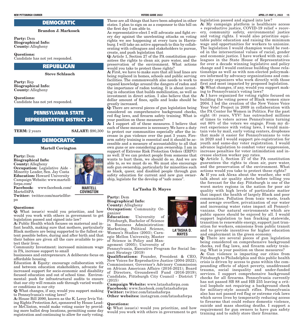### DEMOCRATIC

#### Brandon J. Markosek

Party: Dem Biographical Info: County: Allegheny

Questions:

Candidate has not yet responded.

#### **REPUBLICAN**

Steve Schlauch

Party: Rep Biographical Info: County: Allegheny

#### Questions:

Candidate has not yet responded.

### PENNSYLVANIA STATE REPRESENTATIVE DISTRICT 24

**TERM:** 2 years **SALARY:** \$90,300

### DEMOCRATIC

#### Martell Covington

Party: Dem Biographical Info: County: Allegheny Occupation: Legislative Aide - Minority Leader, Sen. Jay Costa

Education: Howard University Campaign Website: www.martellforpa.com/ Facebook: www.facebook.com/

Martell4PA

Twitter: twitter.com/martellforpa

#### Questions:

Q: What issue(s) would you prioritize, and how would you work with others in government to get legislation passed and signed into law?

A: Public Health which focuses on maternal and infant health, making sure that mothers, particularly Black mothers are being supported to the fullest extent possible before, during and after birth and that their babies are given all the care available to protect their lives.

Community Investment: increased minimum wage in PA, increase support to small

businesses and entrepreneurs. A deliberate focus on affordable housing.

Education & Equity: encourage collaboration with and between education stakeholders, advocate for increased support for socio-economic and disability focused education and out of school time. Environmental: push for infrastructural audits to ensure that our city will remain safe through varied weather conditions in our city

Q: What changes, if any, would you support making to Pennsylvania's voting laws?

A: House Bill 2090, known as the K. Leroy Irvis Voting Rights Protection Act, sponsored by House Leader McClinton, would make voting easier by providing more ballot drop locations, permitting same day registration and continuing to allow for early voting. investment in direct action. I also believe that the dollar amount of fines, spills and leaks should be

Q: There are several pieces of gun legislation being considered on comprehensive background checks, red flag laws, and firearm safety training. What is

A: I support all of these measures. I believe that each of these measures is necessary. We have a duty to protect our communities especially after the increase in gun violence over the past 3 years. Firearm safety training is essential and it should be accessible and a measure of accountability to all that own guns or are considering gun ownership. I am in support of Extreme Risk Protection Orders (ERPO)

the first day I am able to.

greatly increased.

create, and push legislation that

your position on these measures?

would you take to protect these rights?

These are all things that have been adopted in other legislation passed and signed into law?

states. I plan to sign on as a cosponsor to this bill on A: My campaign platform is healthcare access As representative-elect I will advocate and fight ev-ery, community safety, environmental justice ery day against the unrelenting attacks on voting and voting rights. I would also prioritize equirights we see happening at every turn in Harrisburg. I will take an active approach to this by collaborating with colleagues and stakeholders to pursue, Q: Article 1, Section 27 of the PA constitution guarantees the rights to clean air, pure water, and the preservation of the environment. What actions A: First, we have to make sure that all lead lines are being replaced in homes, schools and public serving facilities. The commonwealth also needs to work to expand knowledge around the dangers of radon and the importance of radon testing. It is about investing in education that builds mobilization, as well as + reproductive justice, COVID-19 relief + recovtable public education and raising the minimum wage and opportunities for workers to unionize. The legislation I would champion would be rooted in the intersectional values of racial, gender and economic justice. I have worked with my colleagues in the State House of Representatives for over a decade winning legislative and policy change and I would continue building those relationships as well as with non-elected policymakers informed by advocacy organizations and community organizers who work directly with those first and most impacted by proposed legislation. Q: What changes, if any, would you support making to Pennsylvania's voting laws?

A: I have organized for voting rights focused on building the voting power of Black women since 2004. I led the creation of the New Voices Voice Your Vote! Project in 2009 in collaboration with the PA Center for Women in Politics. For the past eight (8) years, VYV! has outreached millions of times to voters across Pennsylvania turning out 80% of the voters we engage. From my direct experience with voting laws, I would maintain vote by mail, early voting centers, dropboxes that made it easier for Pennsylvanians to vote in 2020 and I would support pre-registration for youth and same-day voter registration. I would advance legislation to combat voter suppression, increase penalties for voter intimidation and increase election worker pay rates.

Q: Article 1, Section 27 of the PA constitution guarantees the rights to clean air, pure water, and the preservation of the environment. What actions would you take to protect these rights?

A: If you ask Alexa about the weather, she will talk about air quality alerts before telling you the forecast for the day. Pittsburgh is one of the worst metro regions in the nation for poor air quality with high levels of particulate matter that impact the health of largely Black and poor communities. Pollution from toxic waste, trash and sewage overflow, privatization of our water and increasing water rates impact all Pennsylvanians. Our natural environments which are public spaces should be enjoyed by all. I would support legislation to ban fracking statewide, transition to renewable energy, support just transition for workers, emissions from public transit and to provide incentives for higher education and employment in the green economy.

Q: There are several pieces of gun legislation being considered on comprehensive background checks, red flag laws, and firearm safety training. What is your position on these measures?

A: Gun violence is impacting our cities from Pittsburgh to Philadelphia and this public health crisis is driven by access to guns within the compounding effects of abject poverty, unaddressed trauma, social inequality and under-funded services. I support comprehensive background checks for all firearms. Pennsylvania currently has not passed SB 88 and HB 235 leaving a critical loophole not requiring a background check for military-style assault rifles. Pennsylvania also has not passed red flag or extreme risk laws which saves lives by temporarily reducing access to firearms that could reduce domestic violence, suicide and mass shooting deaths. I support a requirement for gun owners to have gun safety training and to safely store their firearms.



**MARTELL** 

Party: Dem Biographical Info: County: Allegheny

Occupation: Community Organizer Education: University of

Pittsburgh, Bachelor of Science in Business Administration: Marketing, Political Science, Women's Studies (2003); Carnegie Mellon University, Master of Science in Policy and Man-

Pennsylvania, Executive Program for Social Impact Strategy (2019)

Qualifications: Founder, President & CEO, New Voices for Reproductive Justice (2004-2022); Commissioner, Governor's Advisory Commission on African American Affairs (2016-2021); Board of Directors, Groundswell Fund (2016-2019); Candidate, Pittsburgh City Council - District 7 (2015)

Campaign Website: www.latashaforpa.com Facebook: www.facebook.com/latashaforpa Twitter: twitter.com/latashaforpa Other websites: instagram.com/latashaforpa

#### Questions:

Q: What issue(s) would you prioritize, and how would you work with others in government to get



**LA'TASHA D. MAYES**

agement (2005); University of

**COVINGTON** La'Tasha D. Mayes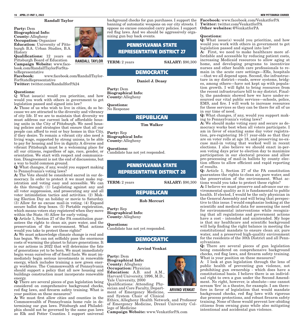#### Randall Taylor

Party: Dem Biographical Info: County: Allegheny Occupation: Organizer Education: University of Pittsburgh B.A. Urban Studies, B.A. History Qualifications: 12 years on Pittsburgh Board of Education Campaign Website: www.facebook.com/RandallTaylorForStateRepresentative<br>Facebook:

Facebook: www.facebook.com/RandallTaylor-ForStateRepresentative Twitter: twitter.com/RandallforPA24

#### Questions:

Q: What issue(s) would you prioritize, and how would you work with others in government to get legislation passed and signed into law?

A: Those of us who wish to live in cities, do so because we are attracted to the diversity and vibrancy of city life. If we are to maintain that diversity we must address our current lack of affordable housing units in the City of Pittsburgh. We need housing policies and strategies that ensure that all our people can afford to rent or buy homes in this City, if they desire. To remain a vibrant city also need a living wage, supported by strong unions, to be able to pay for housing and live in dignity. A diverse and vibrant Pittsburgh must be a welcoming place for all our citizens, regardless of age, race, gender, or orientation. We start with respect and communication. Disagreement is not the end of discussions, but a way to build common ground.

Q: What changes, if any, would you support making to Pennsylvania's voting laws?

A: The Vote should be considered sacred in our democracy. In order to protect it we must make registration and voting easy and accessible. We can do this through: (1) Legislating against any and all voter suppression, and prosecuting any and all voter intimidation tactics and activities. (2) Making Election Day an holiday or movie to Saturday. (3) Allow for no excuse mail-in voting. (4) Expand secure ballot drop boxes. (5) Portable registration, which means voters stay registered when they move within the State. (6) Allow for early voting.

Q: Article 1, Section 27 of the PA constitution guarantees the rights to clean air, pure water, and the preservation of the environment. What actions would you take to protect these rights?

A: We must acknowledge climate change is real and has begun. We can not selfishly pass the enormous costs of warming the planet to future generations. It is our actions in 2022 that will determine the fate of generations yet to be born. We must immediately begin wean ourselves off of fossil fuels. We must immediately begin serious investments in renewable energy, which includes training a new green energy workforce. The Commonwealth of Pennsylvania should support a policy that all new housing and buildings construction must incorporate renewable energy.

Q: There are several pieces of gun legislation being considered on comprehensive background checks, red flag laws, and firearm safety training. What is your position on these measures?

A: We must first allow cities and counties in the Commonwealth of Pennsylvania home rule in determining our gun laws. Pittsburgh and Philadelphia should not be governed by the same gun laws as Elk and Potter Counties. I support universal

background checks for gun purchases. I support the banning of automatic weapons on our city streets. I oppose no excuse concealed carry policies. I support red flag laws. And we should be aggressively organizing gun buy back events.

### PENNSYLVANIA STATE REPRESENTATIVE DISTRICT 27

**SALARY: \$90,300** 

### DEMOCRATIC

Daniel J. Deasy

Party: Dem Biographical Info: County: Allegheny

Questions: No Response

### **REPUBLICAN**

Tim Walker

Party: Rep Biographical Info: County: Allegheny

Questions:

Candidate has not yet responded.

### PENNSYLVANIA STATE REPRESENTATIVE DISTRICT 28

**TERM:** 2 years **SALARY:** \$90,300

### **REPUBLICAN**

Rob Mercuri

Party: Rep Biographical Info: County: Allegheny

Questions: Candidate has not yet responded.

### DEMOCRATIC

#### Arvind Venkat

Party: Dem

Biographical Info: County: Allegheny Occupation: Physician Education: A.B. and A.M., Harvard University, 1996, M.D., Yale University, 2000

Qualifications: Attending Physician and Core Faculty, Department of Emergency Medicine, and System Chair of Clinical

Ethics, Allegheny Health Network, and Professor of Emergency Medicine, Drexel University College of Medicine

Campaign Website: www.VenkatforPA.com

Facebook: www.facebook.com/VenkatforPA Twitter: twitter.com/VenkatforPA Other websites: @VenkatforPA

#### Questions:

Q: What issue(s) would you prioritize, and how would you work with others in government to get legislation passed and signed into law?

A: First, we need to make healthcare more affordable and accessible by reducing patient costs, increasing Medicaid resources to allow aging at home, and developing programs to incentivize nurses and other health care professionals to remain in the acute care settings—ERs, hospitals —that we all depend upon. Second, the infrastructure in my district—roads, sewer systems, bridges, among others—have not kept up with population growth. I will fight to bring resources from the recent infrastructure bill to my district. Finally, the pandemic showed how we have under-resourced our vital public services—schools, police, EMS, and fire. I will work to increase resources for these services so they can be there for all of us in our time of need.

Q: What changes, if any, would you support making to Pennsylvania's voting laws?

A: We should make voting easy and secure as democracy works best when all voters participate. I am in favor of enacting same day voter registration, pre-registering 16-17 year-olds so that they are on voter rolls at age 18, and preserving no-excuse mail-in voting that worked well in recent elections. I also believe we should enact in-person voting days prior to election day to maximize participation in our electoral process and allow pre-processing of mail-in ballots by county election offices to allow efficient and rapid reporting of results.

Q: Article 1, Section 27 of the PA constitution guarantees the rights to clean air, pure water, and the preservation of the environment. What actions would you take to protect these rights?

A: I believe we must preserve and advance our environmental quality as it is fundamental to public health. If elected, I would be the only physician in the General Assembly and will bring that perspective to this issue. I would emphasize looking at the scientific and medical data for assessing the need for environmental interventions while recognizing that all regulations and government actions have a cost - intended and unintended. My hope is that my healthcare and scientific background will help finding the right balance in meeting the constitutional mandate to ensure clean air, pure water, and a preserved high-quality environment for the residents of the 30th District and all Pennsylvanians.

Q: There are several pieces of gun legislation being considered on comprehensive background checks, red flag laws, and firearm safety training. What is your position on these measures?

A: I look at gun legislation through the lens of public health of preventing gun violence, not prohibiting gun ownership - which does have a constitutional basis. I believe there is an individual right to own a gun under the Second Amendment. No right, however, is absolute—one cannot scream 'fire' in a theatre, for example. I am therefore in favor of legislation that would mandate background checks, red flag laws with rigorous due process protections, and robust firearm safety training. None of these would prevent law-abiding citizens from owning guns while also mitigating intentional and accidental gun violence.



**ARVIND VENKAT**

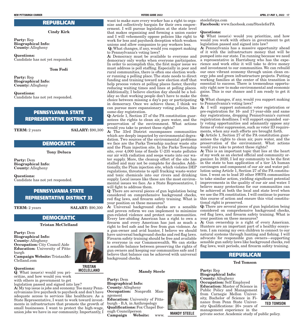### **REPUBLICAN**

#### Cindy Kirk

Party: Rep Biographical Info: County: Allegheny

Questions: Candidate has not yet responded.

Tom Fodi

Party: Rep Biographical Info: County: Allegheny

Questions: Candidate has not yet responded.

### PENNSYLVANIA STATE REPRESENTATIVE DISTRICT 32

**TERM:** 2 years **SALARY:** \$90,300

**TRISTAN** 

### DEMOCRATIC

Tony Deluca

Party: Dem Biographical Info: County: Allegheny

Questions:

Candidate has not yet responded.

### PENNSYLVANIA STATE REPRESENTATIVE DISTRICT 33

**TERM:** 2 years **SALARY:** \$90,300

### DEMOCRATIC

Tristan McClelland

Party: Dem Biographical Info: County: Allegheny Occupation: City Council Aide Education: University of Pittsburgh Campaign Website: TristanMc-Clelland.com

#### Questions:

Q: What issue(s) would you prioritize, and how would you work with others in government to get legislation passed and signed into law?

A: My top issue is jobs and economy. Too many Pennsylvanians live paycheck to paycheck and don't have adequate access to services like healthcare. As a State Representative, I want to work toward investments in infrastructure that promote the growth of small businesses. I want to protect the high-wage, union jobs we have in our community. Importantly, I

want to make sure every worker has a right to organize and collectively bargain for their own empowerment. I will pursue legislation at the state level that makes organizing and forming a union easier and I will vehemently oppose policies like right to work for less and paycheck deception which weaken unions and allow companies to pay workers less.

Q: What changes, if any, would you support making to Pennsylvania's voting laws?

A: Democracy must be available to everyone and democracy only works when everyone participates. In order to accomplish this, the first major issue we must address is poll staffing. Especially in poor and rural communities, there is often one election worker running a polling place. The state needs to direct funding and training toward new election staff that help process voters at polling places faster, thereby reducing waiting times and lines at polling places. Additionally, I believe election day should be a holiday so that working people don't have to make the choice between missing a day's pay or participating in democracy. Once we achieve these, I think we can pursue more expansionary voting policies, like same-day registration.

Q: Article 1, Section 27 of the PA constitution guarantees the rights to clean air, pure water, and the preservation of the environment. What actions would you take to protect these rights?

A: The 33rd District encompasses communities which are deeply impacted by environmental degradation. Two sources of the environmental problems we face are the Parks Township nuclear waste site and the Plum injection site. In the Parks Township site, over 4,000 tons of fissile U-235 waste pollutes our air with radiation and seeps waste into our water supply. More, the cleanup effort of the site has stalled and may not be complete for decades. Additionally, the Plum injection site, which violates DEP regulations, threatens to spill fracking waste-water and toxic chemicals into our rivers and drinking supply. Local issues like these are the most environmental issues we face. As a State Representative, I will fight to address them.

Q: There are several pieces of gun legislation being considered on comprehensive background checks, red flag laws, and firearm safety training. What is your position on these measures?

A: Universal background checks are a sensible and proven reform we can implement to minimize gun-related violence and protect our communities. Every law-abiding American has a right to own a firearm and every American has just as much a right to feel safe and be free from gun violence. As a gun-owner and avid hunter, I believe we should have universal background checks and red flag laws. Firearm safety training should be free and available to everyone in our Commonwealth. We can strike a sensible balance between preserving the rights of gun owners and keeping our communities safe and I believe that balance can be achieved with universal background checks.

**Mandy Steele** 

Party: Dem Biographical Info: County: Allegheny Occupation: Nonprofit Management Education: University of Pittsburgh - B.A. in Anthropology Qualifications: Fox Chapel Borough Councilperson<br>Campaign Website: Campaign Website: www.



**MANDY STEELE**

steeleforpa.com Facebook: www.facebook.com/SteeleforPA

#### Questions:

Q: What issue(s) would you prioritize, and how would you work with others in government to get legislation passed and signed into law?

A: Pennsylvania has a massive opportunity ahead of it with the infrastructure money that will be pumped into our state. I'm running because we need a representative in Harrisburg who has the experience and work ethic it will take to drive money and investment to our communities. We can rebuild our once vibrant economy through union clean energy jobs and green infrastructure projects. Putting working families at the center of this transition is essential to success. There is tremendous opportunity right now to make environmental and economic gains. This is our chance and I am ready to get it done.

Q: What changes, if any, would you support making to Pennsylvania's voting laws?

A: I will support automatic voter registration or pre-registration for 16- and 17-year-olds and same day registrations, dropping Pennsylvania's current registration deadlines. I will support expanded early voting opportunities and adamantly oppose any forms of voter suppression, such as voter ID requirements, when any such efforts are brought forth.

Q: Article 1, Section 27 of the PA constitution guarantees the rights to clean air, pure water, and the preservation of the environment. What actions would you take to protect these rights?

A: This is an important topic that lies at the heart of my work as an elected official and community organizer. In 2020, I led my community to be the first in the state to ban application of a tier 1A human carcinogen and component of our air and water pollution using Article 1, Section 27 of the PA constitution. I went on to lead 20 other SWPA communities to take similar action, yielding significant potential improvements in the quality of our air and water. I believe many protections for our communities can be achieved at both the local and state level when we use the PA constitution. I will continue to pursue this course of action and ensure this vital constitutional right is preserved.

Q: There are several pieces of gun legislation being considered on comprehensive background checks, red flag laws, and firearm safety training. What is your position on these measures?

A: Gun ownership is a right of every American. Hunters are an important part of a healthy ecosystem. I am raising my own children to connect to our natural systems through hunting and fishing. I will advocate for responsible gun owners—supporting sensible gun safety laws like background checks, red flag laws, wait periods, and firearm safety training.

### **REPUBLICAN**

#### Ted Tomson

Party: Rep Biographical Info: County: Allegheny Occupation: Self Employed Education: Master of Science in Public Policy and Management from Carnegie Mellon University, Bachelor of Science in Finance from Penn State University Qualifications: 20+ years of management experience in the

private sector. Academic study of public policy.



**TED TOMSON**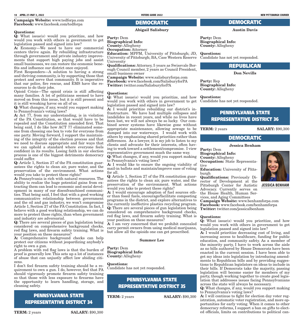#### **18 APRIL 27-MAY 3, 2022 VOTERS GUIDE 2022 NEW PITTSBURGH COURIER**

Campaign Website: www.tedforpa.com Facebook: www.facebook.com/tedforpa

#### Questions:

Q: What issue(s) would you prioritize, and how would you work with others in government to get legislation passed and signed into law?

A: Economy—We need to have our commercial centers thrive again. By rebuilding infrastructure through government and private industry improvements that support high paying jobs and assist small businesses, we can restore the economic benefits and influence our district once enjoyed.

First Responders—A solution to having a strong and thriving community, is by supporting those that protect and serve that community. It is imperative that our police, fire rescue, and EMS have the resources to do their jobs.

Opioid Crisis—The opioid crisis is still affecting many families. A lot of politicians seemed to have moved on from this issue, but it is still present and it is still wreaking havoc on all of us.

Q: What changes, if any, would you support making to Pennsylvania's voting laws?

A: Act 77, from my understanding, is in violation of the PA Constitution, so that would have to be repealed and the Constitution amended first. That being said, I do like how ACT 77 eliminated someone from choosing one box to vote for everyone from one party. Moving forward, I support the maintaining of the integrity of the election process and that we need to discuss appropriate and fair ways that we can uphold a standard where everyone feels confident in its results. Losing faith in our election process is one of the biggest detriments democracy could suffer.

Q: Article 1, Section 27 of the PA constitution guarantees the rights to clean air, pure water, and the preservation of the environment. What actions would you take to protect these rights?

A: Pennsylvania is rich with natural resources. The ability to realize the huge potential gains from extracting them can lead to economic and social development in many of our disenfranchised communities. That being said, I feel that with a good working communicative relationship between government and the oil and gas industry, we won't compromise Article 1, Section 27 of the PA Constitution. In fact, I believe with a good working relationship, we can do more to protect those rights, than when government and industry are adversarial.

Q: There are several pieces of gun legislation being considered on comprehensive background checks, red flag laws, and firearm safety training. What is your position on these measures?

A: Comprehensive background checks can help protect our citizens without jeopardizing anybody's right to own a gun.

A problem with red flag laws is that the burden of proof is generally low. This sets up a lot of instances of abuse that can unjustly affect law abiding citizens.

I don't feel firearm safety training should be a requirement to own a gun. I do, however, feel that PA should vigorously promote firearm safety training so that those with less exposure to firearms have the opportunity to learn handling, storage, and cleaning safety.

# PENNSYLVANIA STATE REPRESENTATIVE DISTRICT 34

**TERM:** 2 years **SALARY:** \$90,300

# DEMOCRATIC

#### Abigail Salisbury

Party: Dem

Biographical Info:

County: Allegheny

Occupation: Attorney

Education: MPPM, University of Pittsburgh; JD, Questions: University of Pittsburgh; BA, Case Western Reserve University

Qualifications: Attorney, 5 years as Swissvale Borough Council member, 2 years as Council President, small business owner

Campaign Website: www.salisburyforpa.com Facebook: www.facebook.com/SalisburyforPA Twitter: twitter.com/SalisburyforPA

#### Questions:

Q: What issue(s) would you prioritize, and how would you work with others in government to get legislation passed and signed into law?

A: I would prioritize rebuilding our district's infrastructure. We have had multiple collapses and landslides in recent years, and while no lives have been lost, we will not always be so lucky. Our combined sewer systems have likewise gone without appropriate maintenance, allowing sewage to be **TERM:**  $2$  years dumped into our waterways. I would work with others by emphasizing shared priorities rather than differences. As a lawyer, it is my job to listen to my clients and advocate for their interests, often having to work toward a settlement/compromise. I view representative government much the same way.

Q: What changes, if any, would you support making to Pennsylvania's voting laws?

A: I would like to ensure the ongoing viability of mail-in ballots and maintain/improve ease of voting Education: University of Pittsfor all.

Q: Article 1, Section 27 of the PA constitution guarantees the rights to clean air, pure water, and the preservation of the environment. What actions would you take to protect these rights?

A: I would encourage adoption of fuel sources other than fossil fuels, encourage/facilitate composting programs in the district, and explore alternatives to the currently ineffective plastics recycling program. Q: There are several pieces of gun legislation being considered on comprehensive background checks, red flag laws, and firearm safety training. What is your position on these measures?

A: I am very concerned that we prohibit concealed carry permit owners from using medical marijuana, but allow all the opioids one can get prescribed.

#### Summer Lee

Party: Dem Biographical Info: County: Allegheny

Questions: Candidate has not yet responded.

### PENNSYLVANIA STATE REPRESENTATIVE DISTRICT 35

**TERM:** 2 years **SALARY:** \$90,300

## DEMOCRATIC

#### Austin Davis

Party: Dem Biographical Info: County: Allegheny

Candidate has not yet responded.

### REPUBLICAN

Don Nevills

Party: Rep Biographical Info: County: Allegheny

Questions:

Candidate has not yet responded.

### PENNSYLVANIA STATE REPRESENTATIVE DISTRICT 36

#### **SALARY: \$90,300**

### DEMOCRATIC

Jessica Benham

Party: Dem Biographical Info:

County: Allegheny Occupation: State Representative

burgh

Qualifications: Previously Director of Development at the Pittsburgh Center for Autistic Advocacy. Currently serves on the House Health, Human Ser-

vices, and Aging Committees

Campaign Website: www.benhamforpa.com Facebook: www.facebook.com/benhamforpa Twitter: twitter.com/jessicalbenham

#### Questions:

Q: What issue(s) would you prioritize, and how would you work with others in government to get legislation passed and signed into law?

A: I would prioritize decreasing cost of living, and increasing access to healthcare, funding for public education, and community safety. As a member of the minority party, I have to work across the aisle as no bills authored by House Democrats have been enacted in the current session. I have been able to get my ideas into legislation by introducing amendments to Republican bills and by providing suggestions to Republican legislators on ideas to include in their bills. If Democrats take the majority, passing legislation will become easier for members of my party, though working together to create good legislation that addresses issues facing Pennsylvanians across the state will always be necessary.

Q: What changes, if any, would you support making to Pennsylvania's voting laws?

A: I will continue to fight for election day voter registration, automatic voter registration, and more opportunities for early voting. When it comes to other democracy reforms, I support a ban on gifts to elected officials, limits on contributions to political can-



**JESSICA BENHAM**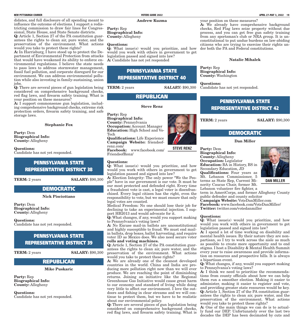didates, and full disclosure of all spending meant to influence the outcome of elections. I support a redistricting commission to draw fair lines for Congressional, State House, and State Senate districts.

Q: Article 1, Section 27 of the PA constitution guarantees the rights to clean air, pure water, and the preservation of the environment. What actions would you take to protect these rights?

A: In Harrisburg,  $\overline{I}$  have stood up to protect the Department of Environmental Protection from attacks that would have weakened its ability to enforce environmental regulations. I believe the state needs to pass laws to address stormwater management, fossil fuel pollution, and corporate disregard for our environment. We can address environmental pollution while also investing in family-sustaining, union jobs.

 $\ddot{Q}$ : There are several pieces of gun legislation being **TERM:** 2 years considered on comprehensive background checks, red flag laws, and firearm safety training. What is your position on these measures?

A: I support commonsense gun legislation, including comprehensive background checks, extreme risk protection orders, firearm safety training, and safe storage laws.

#### Stephanie Fox

Party: Dem Biographical Info: County: Allegheny

Questions: Candidate has not yet responded.

> PENNSYLVANIA STATE REPRESENTATIVE DISTRICT 38

**TERM:** 2 years **SALARY:** \$90,300

# DEMOCRATIC

### Nick Pisciottano

Party: Dem Biographical Info: County: Allegheny

Questions: Candidate has not yet responded.

# PENNSYLVANIA STATE REPRESENTATIVE DISTRICT 39

**TERM:** 2 years **SALARY:** \$90,300

### **REPUBLICAN**

Mike Puskaric

Party: Rep Biographical Info: County: Allegheny

Questions: Candidate has not yet responded.

Andrew Kuzma Party: Rep

Biographical Info: County: Allegheny

#### Questions:

Q: What issue(s) would you prioritize, and how would you work with others in government to get legislation passed and signed into law? A: Candidate has not yet responded

### PENNSYLVANIA STATE REPRESENTATIVE DISTRICT 40

### **REPUBLICAN**

#### Steve Renz

Party: Rep Biographical Info: County: Pennsylvania Occupation: Account Manager Education: High School and Vo-Tech Qualifications: Life Experience Campaign Website: friendsofrenz.com/

Facebook: www.facebook.com/ FriendsofRenz/

#### Questions:

Q: What issue(s) would you prioritize, and how would you work with others in government to get legislation passed and signed into law?

A: Election Integrity: The only power "We the People" have in our government is our vote. It must be our most protected and defended right. Every time a fraudulent vote is cast, a legal voter is disenfranchised. Every legal citizen has the right, even the responsibility to vote, but we must ensure that only legal votes are counted.

Medical Freedom: No one should lose their job for declining to take an experimental injection. I support HB2013 and would advocate for it.

Q: What changes, if any, would you support making to Pennsylvania's voting laws?

A: No Excuse mail-in ballots are unconstitutional and highly susceptible to fraud. We must end mailin ballots, drop boxes, ballot harvesting, and require voter ID as Mexico does. We also need secure voter rolls and voting machines.

Q: Article 1, Section 27 of the PA constitution guarantees the rights to clean air, pure water, and the preservation of the environment. What actions would you take to protect these rights?

A: We are already one of the cleanest developed countries in the world. China and India are producing more pollution right now than we will ever produce. We are reaching the point of diminishing returns. Joining an initiative like the Regional Greenhouse Gas Initiative would cause great harm to our economy and standard of living while doing very little to affect our environment. I love the outdoors and fishing in clear streams and we will continue to protect them, but we have to be realistic about our environmental policy.

Q: There are several pieces of gun legislation being considered on comprehensive background checks, red flag laws, and firearm safety training. What is

your position on these measures?

A: We already have comprehensive background checks, Red Flag laws seize property without due process, and you can get free gun safety training from any sportsman's club or NRA group. It is unconstitutional to put undue burdens on law-abiding citizens who are trying to exercise their rights under both the PA and Federal constitutions.

#### Natalie Mihalek

Party: Rep Biographical Info: County: Washington

SALARY: \$90,300 Questions: Candidate has not yet responded.

### PENNSYLVANIA STATE REPRESENTATIVE DISTRICT 42

**TERM:** 2 years **SALARY:** \$90,300

### DEMOCRATIC

#### Dan Miller

Party: Dem Biographical Info: County: Allegheny Occupation: Legislator Education: BA in History, BS in Secondary Education, JD Qualifications: Four years as Mt. Lebanon Commissioner, 5 terms as State Rep, Current Minority Caucus Chair, former Mt. Lebanon volunteer fire fighter, a

**DAN MILLER**

term in AmeriCorps, and former Allegheny County public defender and county solicitor

Campaign Website: VoteDanMiller.com Facebook: www.facebook.com/VoteDanMiller/ Twitter: twitter.com/votedanmiller

#### Questions:

 $\overline{Q}$ : What issue(s) would you prioritize, and how would you work with others in government to get legislation passed and signed into law?

A: I spend a lot of time working on disability and mental health issues. By their nature they are nonpartisan, so I try to work across the aisle as much as possible to create more opportunity and to end stigma. I host a Disability & Mental Health Summit every year to raise awareness and provide information on resources and prospective bills. It is always a bipartisan event.

Q: What changes, if any, would you support making to Pennsylvania's voting laws?

A: I think we need to prioritize the recommendations from county officials about how we can help them run a smoother election. Making it easier to administer, making it easier to register and vote, and providing greater state resources would be key. Q: Article 1, Section 27 of the PA constitution guarantees the rights to clean air, pure water, and the preservation of the environment. What actions would you take to protect these rights?

A: One of the main things we can do is to actually fund our DEP. Unfortunately over the last two decades the DEP has been decimated by cuts and